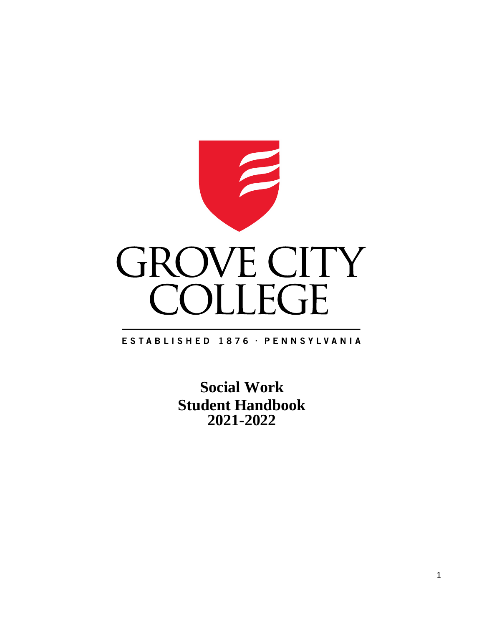

# ESTABLISHED 1876 · PENNSYLVANIA

**Social Work Student Handbook 2021-2022**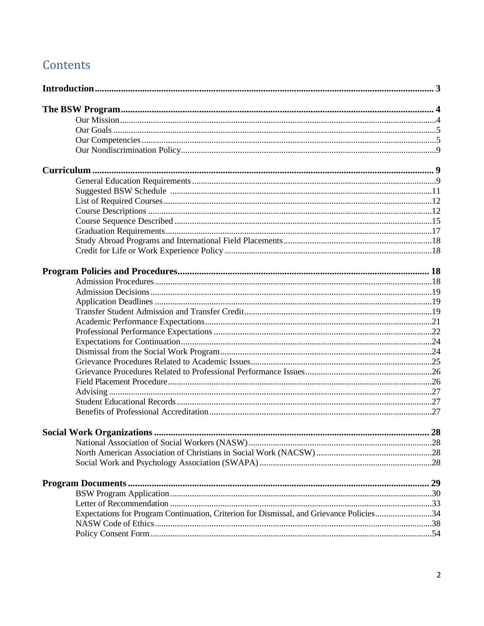# Contents

<span id="page-1-0"></span>

| Expectations for Program Continuation, Criterion for Dismissal, and Grievance Policies34 |  |
|------------------------------------------------------------------------------------------|--|
|                                                                                          |  |
|                                                                                          |  |
|                                                                                          |  |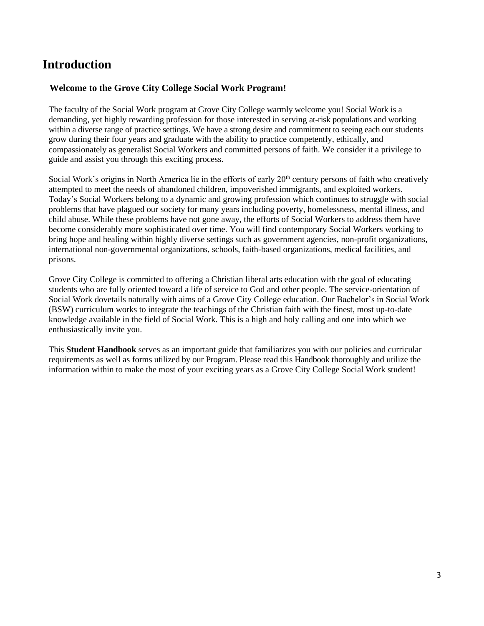# **Introduction**

### **Welcome to the Grove City College Social Work Program!**

The faculty of the Social Work program at Grove City College warmly welcome you! Social Work is a demanding, yet highly rewarding profession for those interested in serving at-risk populations and working within a diverse range of practice settings. We have a strong desire and commitment to seeing each our students grow during their four years and graduate with the ability to practice competently, ethically, and compassionately as generalist Social Workers and committed persons of faith. We consider it a privilege to guide and assist you through this exciting process.

Social Work's origins in North America lie in the efforts of early  $20<sup>th</sup>$  century persons of faith who creatively attempted to meet the needs of abandoned children, impoverished immigrants, and exploited workers. Today's Social Workers belong to a dynamic and growing profession which continues to struggle with social problems that have plagued our society for many years including poverty, homelessness, mental illness, and child abuse. While these problems have not gone away, the efforts of Social Workers to address them have become considerably more sophisticated over time. You will find contemporary Social Workers working to bring hope and healing within highly diverse settings such as government agencies, non-profit organizations, international non-governmental organizations, schools, faith-based organizations, medical facilities, and prisons.

Grove City College is committed to offering a Christian liberal arts education with the goal of educating students who are fully oriented toward a life of service to God and other people. The service-orientation of Social Work dovetails naturally with aims of a Grove City College education. Our Bachelor's in Social Work (BSW) curriculum works to integrate the teachings of the Christian faith with the finest, most up-to-date knowledge available in the field of Social Work. This is a high and holy calling and one into which we enthusiastically invite you.

This **Student Handbook** serves as an important guide that familiarizes you with our policies and curricular requirements as well as forms utilized by our Program. Please read this Handbook thoroughly and utilize the information within to make the most of your exciting years as a Grove City College Social Work student!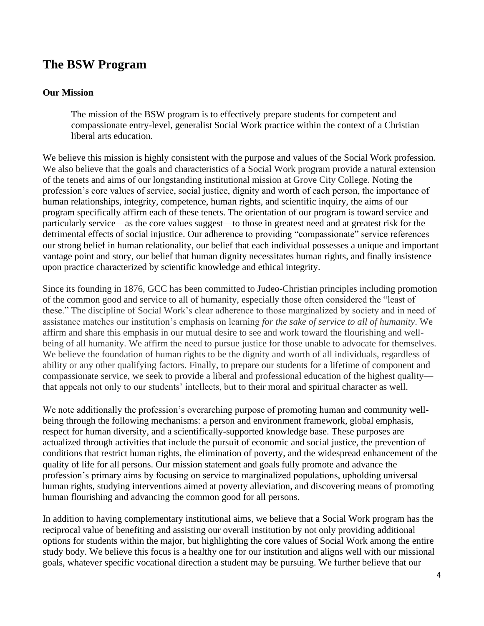# <span id="page-3-0"></span>**The BSW Program**

### <span id="page-3-1"></span>**Our Mission**

The mission of the BSW program is to effectively prepare students for competent and compassionate entry-level, generalist Social Work practice within the context of a Christian liberal arts education.

We believe this mission is highly consistent with the purpose and values of the Social Work profession. We also believe that the goals and characteristics of a Social Work program provide a natural extension of the tenets and aims of our longstanding institutional mission at Grove City College. Noting the profession's core values of service, social justice, dignity and worth of each person, the importance of human relationships, integrity, competence, human rights, and scientific inquiry, the aims of our program specifically affirm each of these tenets. The orientation of our program is toward service and particularly service—as the core values suggest—to those in greatest need and at greatest risk for the detrimental effects of social injustice. Our adherence to providing "compassionate" service references our strong belief in human relationality, our belief that each individual possesses a unique and important vantage point and story, our belief that human dignity necessitates human rights, and finally insistence upon practice characterized by scientific knowledge and ethical integrity.

Since its founding in 1876, GCC has been committed to Judeo-Christian principles including promotion of the common good and service to all of humanity, especially those often considered the "least of these." The discipline of Social Work's clear adherence to those marginalized by society and in need of assistance matches our institution's emphasis on learning *for the sake of service to all of humanity*. We affirm and share this emphasis in our mutual desire to see and work toward the flourishing and wellbeing of all humanity. We affirm the need to pursue justice for those unable to advocate for themselves. We believe the foundation of human rights to be the dignity and worth of all individuals, regardless of ability or any other qualifying factors. Finally, to prepare our students for a lifetime of component and compassionate service, we seek to provide a liberal and professional education of the highest quality that appeals not only to our students' intellects, but to their moral and spiritual character as well.

We note additionally the profession's overarching purpose of promoting human and community wellbeing through the following mechanisms: a person and environment framework, global emphasis, respect for human diversity, and a scientifically-supported knowledge base. These purposes are actualized through activities that include the pursuit of economic and social justice, the prevention of conditions that restrict human rights, the elimination of poverty, and the widespread enhancement of the quality of life for all persons. Our mission statement and goals fully promote and advance the profession's primary aims by focusing on service to marginalized populations, upholding universal human rights, studying interventions aimed at poverty alleviation, and discovering means of promoting human flourishing and advancing the common good for all persons.

In addition to having complementary institutional aims, we believe that a Social Work program has the reciprocal value of benefiting and assisting our overall institution by not only providing additional options for students within the major, but highlighting the core values of Social Work among the entire study body. We believe this focus is a healthy one for our institution and aligns well with our missional goals, whatever specific vocational direction a student may be pursuing. We further believe that our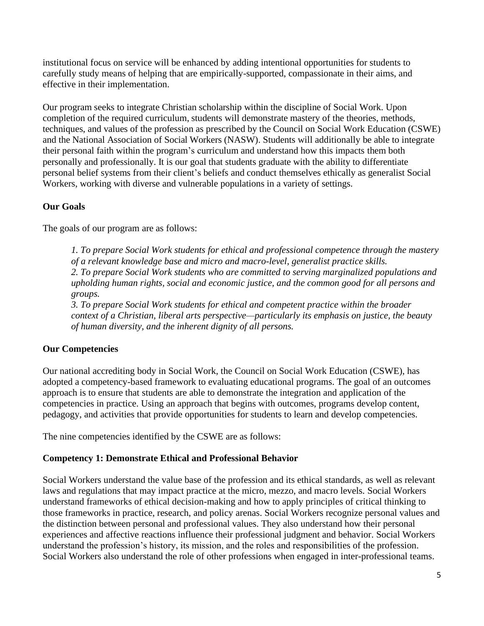institutional focus on service will be enhanced by adding intentional opportunities for students to carefully study means of helping that are empirically-supported, compassionate in their aims, and effective in their implementation.

Our program seeks to integrate Christian scholarship within the discipline of Social Work. Upon completion of the required curriculum, students will demonstrate mastery of the theories, methods, techniques, and values of the profession as prescribed by the Council on Social Work Education (CSWE) and the National Association of Social Workers (NASW). Students will additionally be able to integrate their personal faith within the program's curriculum and understand how this impacts them both personally and professionally. It is our goal that students graduate with the ability to differentiate personal belief systems from their client's beliefs and conduct themselves ethically as generalist Social Workers, working with diverse and vulnerable populations in a variety of settings.

## <span id="page-4-0"></span>**Our Goals**

The goals of our program are as follows:

*1. To prepare Social Work students for ethical and professional competence through the mastery of a relevant knowledge base and micro and macro-level, generalist practice skills. 2. To prepare Social Work students who are committed to serving marginalized populations and upholding human rights, social and economic justice, and the common good for all persons and groups.* 

*3. To prepare Social Work students for ethical and competent practice within the broader context of a Christian, liberal arts perspective—particularly its emphasis on justice, the beauty of human diversity, and the inherent dignity of all persons.* 

### <span id="page-4-1"></span>**Our Competencies**

Our national accrediting body in Social Work, the Council on Social Work Education (CSWE), has adopted a competency-based framework to evaluating educational programs. The goal of an outcomes approach is to ensure that students are able to demonstrate the integration and application of the competencies in practice. Using an approach that begins with outcomes, programs develop content, pedagogy, and activities that provide opportunities for students to learn and develop competencies.

The nine competencies identified by the CSWE are as follows:

### **Competency 1: Demonstrate Ethical and Professional Behavior**

Social Workers understand the value base of the profession and its ethical standards, as well as relevant laws and regulations that may impact practice at the micro, mezzo, and macro levels. Social Workers understand frameworks of ethical decision-making and how to apply principles of critical thinking to those frameworks in practice, research, and policy arenas. Social Workers recognize personal values and the distinction between personal and professional values. They also understand how their personal experiences and affective reactions influence their professional judgment and behavior. Social Workers understand the profession's history, its mission, and the roles and responsibilities of the profession. Social Workers also understand the role of other professions when engaged in inter-professional teams.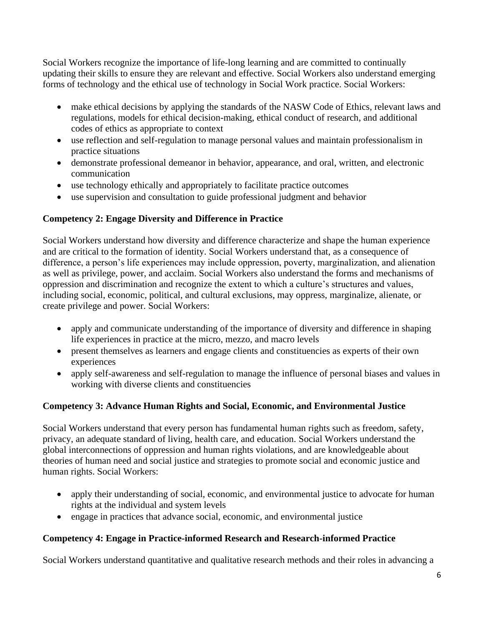Social Workers recognize the importance of life-long learning and are committed to continually updating their skills to ensure they are relevant and effective. Social Workers also understand emerging forms of technology and the ethical use of technology in Social Work practice. Social Workers:

- make ethical decisions by applying the standards of the NASW Code of Ethics, relevant laws and regulations, models for ethical decision-making, ethical conduct of research, and additional codes of ethics as appropriate to context
- use reflection and self-regulation to manage personal values and maintain professionalism in practice situations
- demonstrate professional demeanor in behavior, appearance, and oral, written, and electronic communication
- use technology ethically and appropriately to facilitate practice outcomes
- use supervision and consultation to guide professional judgment and behavior

# **Competency 2: Engage Diversity and Difference in Practice**

Social Workers understand how diversity and difference characterize and shape the human experience and are critical to the formation of identity. Social Workers understand that, as a consequence of difference, a person's life experiences may include oppression, poverty, marginalization, and alienation as well as privilege, power, and acclaim. Social Workers also understand the forms and mechanisms of oppression and discrimination and recognize the extent to which a culture's structures and values, including social, economic, political, and cultural exclusions, may oppress, marginalize, alienate, or create privilege and power. Social Workers:

- apply and communicate understanding of the importance of diversity and difference in shaping life experiences in practice at the micro, mezzo, and macro levels
- present themselves as learners and engage clients and constituencies as experts of their own experiences
- apply self-awareness and self-regulation to manage the influence of personal biases and values in working with diverse clients and constituencies

# **Competency 3: Advance Human Rights and Social, Economic, and Environmental Justice**

Social Workers understand that every person has fundamental human rights such as freedom, safety, privacy, an adequate standard of living, health care, and education. Social Workers understand the global interconnections of oppression and human rights violations, and are knowledgeable about theories of human need and social justice and strategies to promote social and economic justice and human rights. Social Workers:

- apply their understanding of social, economic, and environmental justice to advocate for human rights at the individual and system levels
- engage in practices that advance social, economic, and environmental justice

# **Competency 4: Engage in Practice-informed Research and Research-informed Practice**

Social Workers understand quantitative and qualitative research methods and their roles in advancing a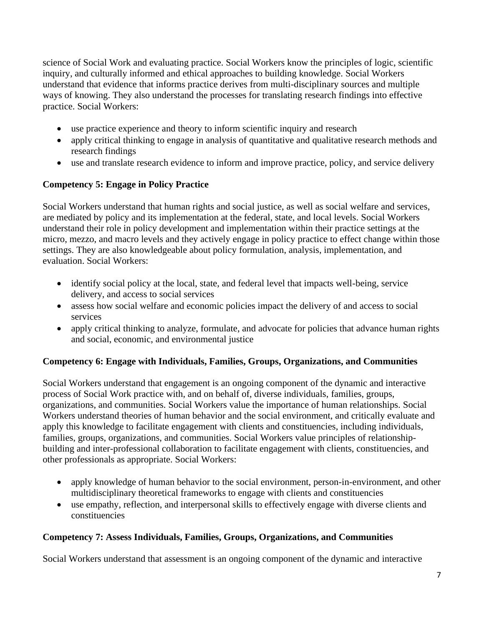science of Social Work and evaluating practice. Social Workers know the principles of logic, scientific inquiry, and culturally informed and ethical approaches to building knowledge. Social Workers understand that evidence that informs practice derives from multi-disciplinary sources and multiple ways of knowing. They also understand the processes for translating research findings into effective practice. Social Workers:

- use practice experience and theory to inform scientific inquiry and research
- apply critical thinking to engage in analysis of quantitative and qualitative research methods and research findings
- use and translate research evidence to inform and improve practice, policy, and service delivery

# **Competency 5: Engage in Policy Practice**

Social Workers understand that human rights and social justice, as well as social welfare and services, are mediated by policy and its implementation at the federal, state, and local levels. Social Workers understand their role in policy development and implementation within their practice settings at the micro, mezzo, and macro levels and they actively engage in policy practice to effect change within those settings. They are also knowledgeable about policy formulation, analysis, implementation, and evaluation. Social Workers:

- identify social policy at the local, state, and federal level that impacts well-being, service delivery, and access to social services
- assess how social welfare and economic policies impact the delivery of and access to social services
- apply critical thinking to analyze, formulate, and advocate for policies that advance human rights and social, economic, and environmental justice

# **Competency 6: Engage with Individuals, Families, Groups, Organizations, and Communities**

Social Workers understand that engagement is an ongoing component of the dynamic and interactive process of Social Work practice with, and on behalf of, diverse individuals, families, groups, organizations, and communities. Social Workers value the importance of human relationships. Social Workers understand theories of human behavior and the social environment, and critically evaluate and apply this knowledge to facilitate engagement with clients and constituencies, including individuals, families, groups, organizations, and communities. Social Workers value principles of relationshipbuilding and inter-professional collaboration to facilitate engagement with clients, constituencies, and other professionals as appropriate. Social Workers:

- apply knowledge of human behavior to the social environment, person-in-environment, and other multidisciplinary theoretical frameworks to engage with clients and constituencies
- use empathy, reflection, and interpersonal skills to effectively engage with diverse clients and constituencies

### **Competency 7: Assess Individuals, Families, Groups, Organizations, and Communities**

Social Workers understand that assessment is an ongoing component of the dynamic and interactive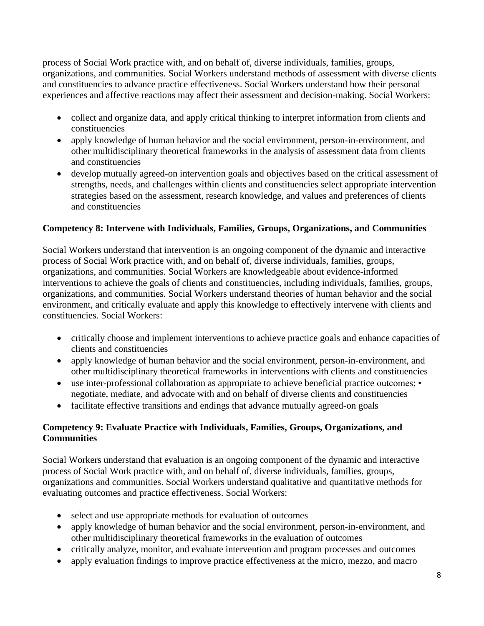process of Social Work practice with, and on behalf of, diverse individuals, families, groups, organizations, and communities. Social Workers understand methods of assessment with diverse clients and constituencies to advance practice effectiveness. Social Workers understand how their personal experiences and affective reactions may affect their assessment and decision-making. Social Workers:

- collect and organize data, and apply critical thinking to interpret information from clients and constituencies
- apply knowledge of human behavior and the social environment, person-in-environment, and other multidisciplinary theoretical frameworks in the analysis of assessment data from clients and constituencies
- develop mutually agreed-on intervention goals and objectives based on the critical assessment of strengths, needs, and challenges within clients and constituencies select appropriate intervention strategies based on the assessment, research knowledge, and values and preferences of clients and constituencies

# **Competency 8: Intervene with Individuals, Families, Groups, Organizations, and Communities**

Social Workers understand that intervention is an ongoing component of the dynamic and interactive process of Social Work practice with, and on behalf of, diverse individuals, families, groups, organizations, and communities. Social Workers are knowledgeable about evidence-informed interventions to achieve the goals of clients and constituencies, including individuals, families, groups, organizations, and communities. Social Workers understand theories of human behavior and the social environment, and critically evaluate and apply this knowledge to effectively intervene with clients and constituencies. Social Workers:

- critically choose and implement interventions to achieve practice goals and enhance capacities of clients and constituencies
- apply knowledge of human behavior and the social environment, person-in-environment, and other multidisciplinary theoretical frameworks in interventions with clients and constituencies
- use inter-professional collaboration as appropriate to achieve beneficial practice outcomes; negotiate, mediate, and advocate with and on behalf of diverse clients and constituencies
- facilitate effective transitions and endings that advance mutually agreed-on goals

## **Competency 9: Evaluate Practice with Individuals, Families, Groups, Organizations, and Communities**

Social Workers understand that evaluation is an ongoing component of the dynamic and interactive process of Social Work practice with, and on behalf of, diverse individuals, families, groups, organizations and communities. Social Workers understand qualitative and quantitative methods for evaluating outcomes and practice effectiveness. Social Workers:

- select and use appropriate methods for evaluation of outcomes
- apply knowledge of human behavior and the social environment, person-in-environment, and other multidisciplinary theoretical frameworks in the evaluation of outcomes
- critically analyze, monitor, and evaluate intervention and program processes and outcomes
- apply evaluation findings to improve practice effectiveness at the micro, mezzo, and macro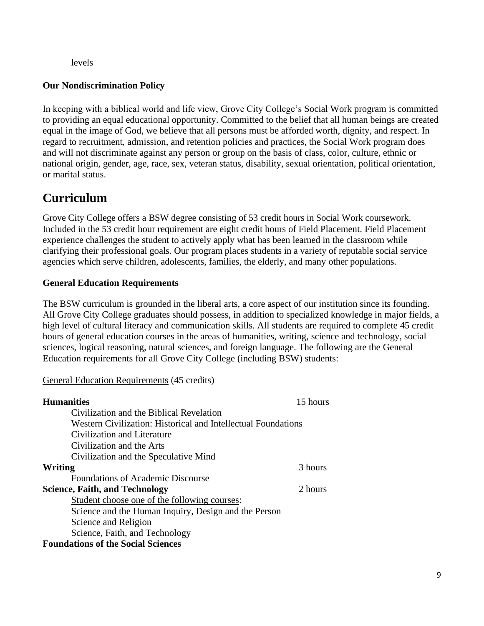### levels

### <span id="page-8-0"></span>**Our Nondiscrimination Policy**

In keeping with a biblical world and life view, Grove City College's Social Work program is committed to providing an equal educational opportunity. Committed to the belief that all human beings are created equal in the image of God, we believe that all persons must be afforded worth, dignity, and respect. In regard to recruitment, admission, and retention policies and practices, the Social Work program does and will not discriminate against any person or group on the basis of class, color, culture, ethnic or national origin, gender, age, race, sex, veteran status, disability, sexual orientation, political orientation, or marital status.

# <span id="page-8-1"></span>**Curriculum**

Grove City College offers a BSW degree consisting of 53 credit hours in Social Work coursework. Included in the 53 credit hour requirement are eight credit hours of Field Placement. Field Placement experience challenges the student to actively apply what has been learned in the classroom while clarifying their professional goals. Our program places students in a variety of reputable social service agencies which serve children, adolescents, families, the elderly, and many other populations.

### <span id="page-8-2"></span>**General Education Requirements**

The BSW curriculum is grounded in the liberal arts, a core aspect of our institution since its founding. All Grove City College graduates should possess, in addition to specialized knowledge in major fields, a high level of cultural literacy and communication skills. All students are required to complete 45 credit hours of general education courses in the areas of humanities, writing, science and technology, social sciences, logical reasoning, natural sciences, and foreign language. The following are the General Education requirements for all Grove City College (including BSW) students:

General Education Requirements (45 credits)

| <b>Humanities</b>                                             | 15 hours |
|---------------------------------------------------------------|----------|
| Civilization and the Biblical Revelation                      |          |
| Western Civilization: Historical and Intellectual Foundations |          |
| Civilization and Literature                                   |          |
| Civilization and the Arts                                     |          |
| Civilization and the Speculative Mind                         |          |
| Writing                                                       | 3 hours  |
| <b>Foundations of Academic Discourse</b>                      |          |
| <b>Science, Faith, and Technology</b>                         | 2 hours  |
| Student choose one of the following courses:                  |          |
| Science and the Human Inquiry, Design and the Person          |          |
| Science and Religion                                          |          |
| Science, Faith, and Technology                                |          |
| <b>Foundations of the Social Sciences</b>                     |          |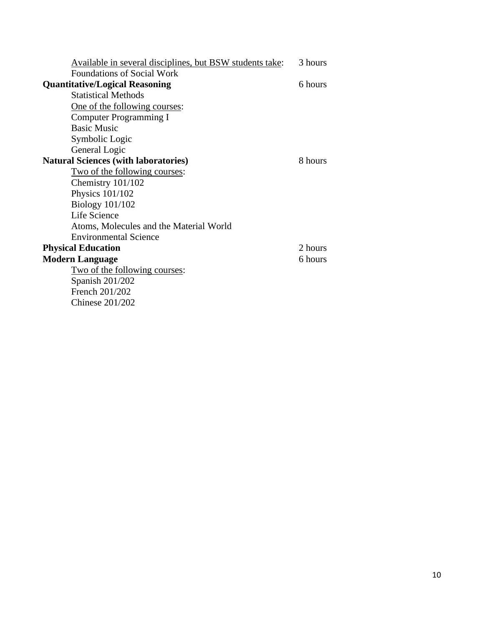| Available in several disciplines, but BSW students take: | 3 hours |
|----------------------------------------------------------|---------|
| <b>Foundations of Social Work</b>                        |         |
| <b>Quantitative/Logical Reasoning</b>                    | 6 hours |
| <b>Statistical Methods</b>                               |         |
| One of the following courses:                            |         |
| Computer Programming I                                   |         |
| <b>Basic Music</b>                                       |         |
| Symbolic Logic                                           |         |
| General Logic                                            |         |
| <b>Natural Sciences (with laboratories)</b>              | 8 hours |
| Two of the following courses:                            |         |
| Chemistry 101/102                                        |         |
| Physics 101/102                                          |         |
| <b>Biology 101/102</b>                                   |         |
| Life Science                                             |         |
| Atoms, Molecules and the Material World                  |         |
| <b>Environmental Science</b>                             |         |
| <b>Physical Education</b>                                | 2 hours |
| <b>Modern Language</b>                                   | 6 hours |
| <u>Two of the following courses:</u>                     |         |
| Spanish 201/202                                          |         |
| French 201/202                                           |         |
| <b>Chinese 201/202</b>                                   |         |
|                                                          |         |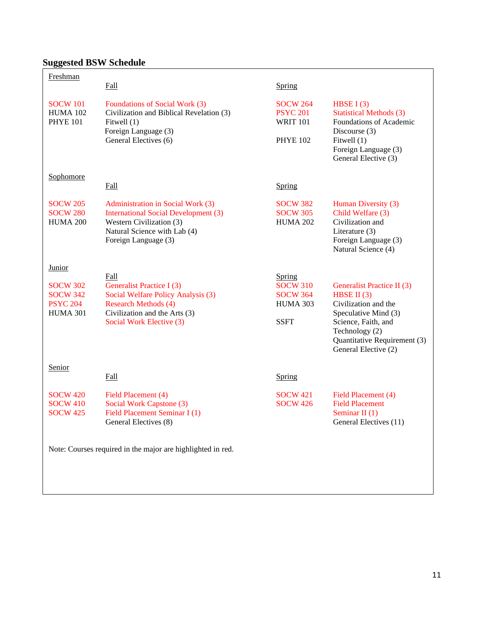# <span id="page-10-0"></span>**Suggested BSW Schedule**

| Freshman                                                                           | Fall                                                                                                                                                                 | Spring                                                                   |                                                                                                                                                                                              |
|------------------------------------------------------------------------------------|----------------------------------------------------------------------------------------------------------------------------------------------------------------------|--------------------------------------------------------------------------|----------------------------------------------------------------------------------------------------------------------------------------------------------------------------------------------|
| <b>SOCW 101</b><br><b>HUMA 102</b><br><b>PHYE 101</b>                              | Foundations of Social Work (3)<br>Civilization and Biblical Revelation (3)<br>Fitwell $(1)$<br>Foreign Language (3)<br>General Electives (6)                         | <b>SOCW 264</b><br><b>PSYC 201</b><br><b>WRIT 101</b><br><b>PHYE 102</b> | HBSE $I(3)$<br><b>Statistical Methods (3)</b><br>Foundations of Academic<br>Discourse $(3)$<br>Fitwell (1)<br>Foreign Language (3)<br>General Elective (3)                                   |
| Sophomore                                                                          | Fall                                                                                                                                                                 | Spring                                                                   |                                                                                                                                                                                              |
| <b>SOCW 205</b><br><b>SOCW 280</b><br><b>HUMA 200</b>                              | Administration in Social Work (3)<br><b>International Social Development (3)</b><br>Western Civilization (3)<br>Natural Science with Lab (4)<br>Foreign Language (3) | <b>SOCW 382</b><br><b>SOCW 305</b><br><b>HUMA 202</b>                    | Human Diversity (3)<br>Child Welfare (3)<br>Civilization and<br>Literature (3)<br>Foreign Language (3)<br>Natural Science (4)                                                                |
| Junior<br><b>SOCW 302</b><br><b>SOCW 342</b><br><b>PSYC 204</b><br><b>HUMA 301</b> | Fall<br>Generalist Practice I (3)<br>Social Welfare Policy Analysis (3)<br><b>Research Methods (4)</b><br>Civilization and the Arts (3)<br>Social Work Elective (3)  | Spring<br><b>SOCW 310</b><br><b>SOCW 364</b><br>HUMA 303<br><b>SSFT</b>  | Generalist Practice II (3)<br>HBSE II $(3)$<br>Civilization and the<br>Speculative Mind (3)<br>Science, Faith, and<br>Technology (2)<br>Quantitative Requirement (3)<br>General Elective (2) |
| Senior                                                                             | Fall                                                                                                                                                                 | Spring                                                                   |                                                                                                                                                                                              |
| <b>SOCW 420</b><br><b>SOCW 410</b><br><b>SOCW 425</b>                              | Field Placement (4)<br>Social Work Capstone (3)<br>Field Placement Seminar I (1)<br>General Electives (8)                                                            | <b>SOCW 421</b><br><b>SOCW 426</b>                                       | Field Placement (4)<br><b>Field Placement</b><br>Seminar II $(1)$<br>General Electives (11)                                                                                                  |
|                                                                                    | Note: Courses required in the major are highlighted in red.                                                                                                          |                                                                          |                                                                                                                                                                                              |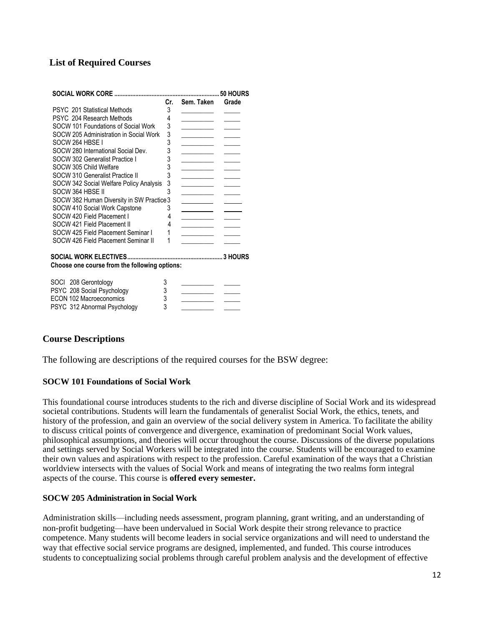## <span id="page-11-0"></span>**List of Required Courses**

| SOCIAL WORK CORE                              |        |            | 50 HOURS |
|-----------------------------------------------|--------|------------|----------|
|                                               | Cr.    | Sem. Taken | Grade    |
| PSYC 201 Statistical Methods                  | 3      |            |          |
| PSYC 204 Research Methods                     | 4      |            |          |
| SOCW 101 Foundations of Social Work           | 3      |            |          |
| SOCW 205 Administration in Social Work        | 3      |            |          |
| SOCW 264 HBSF I                               | 3      |            |          |
| SOCW 280 International Social Dev.            | 3      |            |          |
| SOCW 302 Generalist Practice I                | 3      |            |          |
| SOCW 305 Child Welfare                        | 3      |            |          |
| SOCW 310 Generalist Practice II               | 3      |            |          |
| SOCW 342 Social Welfare Policy Analysis       | 3      |            |          |
| SOCW 364 HBSF II                              | 3      |            |          |
| SOCW 382 Human Diversity in SW Practice 3     |        |            |          |
| SOCW 410 Social Work Capstone                 | 3      |            |          |
| SOCW 420 Field Placement I                    | 4      |            |          |
| SOCW 421 Field Placement II                   | 4      |            |          |
| SOCW 425 Field Placement Seminar I            | 1      |            |          |
| SOCW 426 Field Placement Seminar II           |        |            |          |
|                                               |        |            |          |
|                                               |        |            |          |
| Choose one course from the following options: |        |            |          |
| SOCI 208 Gerontology                          | 3      |            |          |
| PSYC 208 Social Psychology                    | 3<br>3 |            |          |
| FCON 102 Macroeconomics                       |        |            |          |
| PSYC 312 Abnormal Psychology                  | 3      |            |          |
|                                               |        |            |          |

### <span id="page-11-1"></span>**Course Descriptions**

The following are descriptions of the required courses for the BSW degree:

### **SOCW 101 Foundations of Social Work**

This foundational course introduces students to the rich and diverse discipline of Social Work and its widespread societal contributions. Students will learn the fundamentals of generalist Social Work, the ethics, tenets, and history of the profession, and gain an overview of the social delivery system in America. To facilitate the ability to discuss critical points of convergence and divergence, examination of predominant Social Work values, philosophical assumptions, and theories will occur throughout the course. Discussions of the diverse populations and settings served by Social Workers will be integrated into the course. Students will be encouraged to examine their own values and aspirations with respect to the profession. Careful examination of the ways that a Christian worldview intersects with the values of Social Work and means of integrating the two realms form integral aspects of the course. This course is **offered every semester.**

### **SOCW 205 Administration in Social Work**

Administration skills—including needs assessment, program planning, grant writing, and an understanding of non-profit budgeting—have been undervalued in Social Work despite their strong relevance to practice competence. Many students will become leaders in social service organizations and will need to understand the way that effective social service programs are designed, implemented, and funded. This course introduces students to conceptualizing social problems through careful problem analysis and the development of effective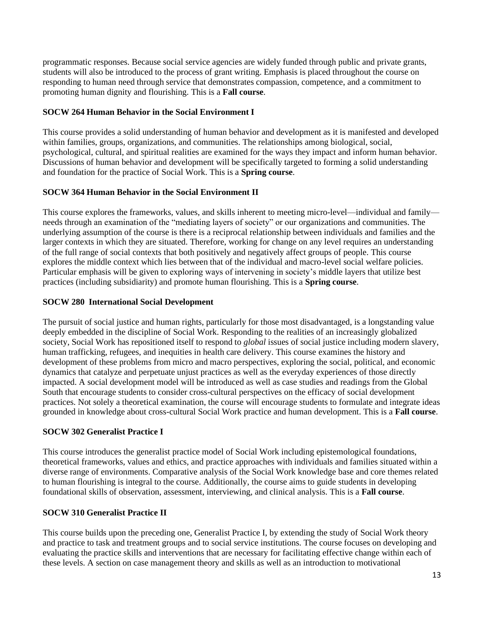programmatic responses. Because social service agencies are widely funded through public and private grants, students will also be introduced to the process of grant writing. Emphasis is placed throughout the course on responding to human need through service that demonstrates compassion, competence, and a commitment to promoting human dignity and flourishing. This is a **Fall course**.

### **SOCW 264 Human Behavior in the Social Environment I**

This course provides a solid understanding of human behavior and development as it is manifested and developed within families, groups, organizations, and communities. The relationships among biological, social, psychological, cultural, and spiritual realities are examined for the ways they impact and inform human behavior. Discussions of human behavior and development will be specifically targeted to forming a solid understanding and foundation for the practice of Social Work. This is a **Spring course**.

### **SOCW 364 Human Behavior in the Social Environment II**

This course explores the frameworks, values, and skills inherent to meeting micro-level—individual and family needs through an examination of the "mediating layers of society" or our organizations and communities. The underlying assumption of the course is there is a reciprocal relationship between individuals and families and the larger contexts in which they are situated. Therefore, working for change on any level requires an understanding of the full range of social contexts that both positively and negatively affect groups of people. This course explores the middle context which lies between that of the individual and macro-level social welfare policies. Particular emphasis will be given to exploring ways of intervening in society's middle layers that utilize best practices (including subsidiarity) and promote human flourishing. This is a **Spring course**.

### **SOCW 280 International Social Development**

The pursuit of social justice and human rights, particularly for those most disadvantaged, is a longstanding value deeply embedded in the discipline of Social Work. Responding to the realities of an increasingly globalized society, Social Work has repositioned itself to respond to *global* issues of social justice including modern slavery, human trafficking, refugees, and inequities in health care delivery. This course examines the history and development of these problems from micro and macro perspectives, exploring the social, political, and economic dynamics that catalyze and perpetuate unjust practices as well as the everyday experiences of those directly impacted. A social development model will be introduced as well as case studies and readings from the Global South that encourage students to consider cross-cultural perspectives on the efficacy of social development practices. Not solely a theoretical examination, the course will encourage students to formulate and integrate ideas grounded in knowledge about cross-cultural Social Work practice and human development. This is a **Fall course**.

### **SOCW 302 Generalist Practice I**

This course introduces the generalist practice model of Social Work including epistemological foundations, theoretical frameworks, values and ethics, and practice approaches with individuals and families situated within a diverse range of environments. Comparative analysis of the Social Work knowledge base and core themes related to human flourishing is integral to the course. Additionally, the course aims to guide students in developing foundational skills of observation, assessment, interviewing, and clinical analysis. This is a **Fall course**.

### **SOCW 310 Generalist Practice II**

This course builds upon the preceding one, Generalist Practice I, by extending the study of Social Work theory and practice to task and treatment groups and to social service institutions. The course focuses on developing and evaluating the practice skills and interventions that are necessary for facilitating effective change within each of these levels. A section on case management theory and skills as well as an introduction to motivational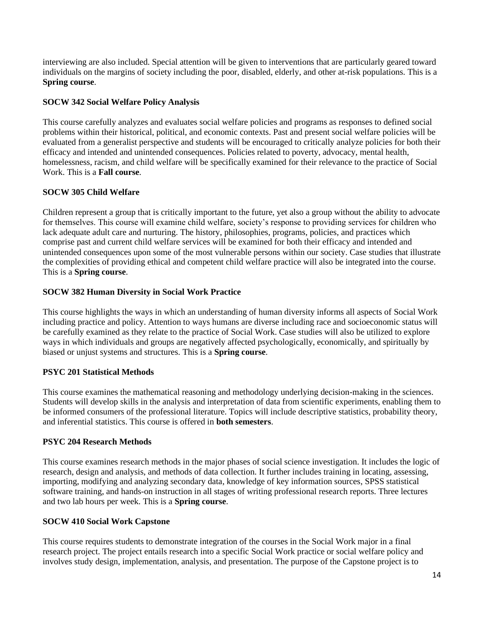interviewing are also included. Special attention will be given to interventions that are particularly geared toward individuals on the margins of society including the poor, disabled, elderly, and other at-risk populations. This is a **Spring course**.

### **SOCW 342 Social Welfare Policy Analysis**

This course carefully analyzes and evaluates social welfare policies and programs as responses to defined social problems within their historical, political, and economic contexts. Past and present social welfare policies will be evaluated from a generalist perspective and students will be encouraged to critically analyze policies for both their efficacy and intended and unintended consequences. Policies related to poverty, advocacy, mental health, homelessness, racism, and child welfare will be specifically examined for their relevance to the practice of Social Work. This is a **Fall course**.

### **SOCW 305 Child Welfare**

Children represent a group that is critically important to the future, yet also a group without the ability to advocate for themselves. This course will examine child welfare, society's response to providing services for children who lack adequate adult care and nurturing. The history, philosophies, programs, policies, and practices which comprise past and current child welfare services will be examined for both their efficacy and intended and unintended consequences upon some of the most vulnerable persons within our society. Case studies that illustrate the complexities of providing ethical and competent child welfare practice will also be integrated into the course. This is a **Spring course**.

### **SOCW 382 Human Diversity in Social Work Practice**

This course highlights the ways in which an understanding of human diversity informs all aspects of Social Work including practice and policy. Attention to ways humans are diverse including race and socioeconomic status will be carefully examined as they relate to the practice of Social Work. Case studies will also be utilized to explore ways in which individuals and groups are negatively affected psychologically, economically, and spiritually by biased or unjust systems and structures. This is a **Spring course**.

### **PSYC 201 Statistical Methods**

This course examines the mathematical reasoning and methodology underlying decision-making in the sciences. Students will develop skills in the analysis and interpretation of data from scientific experiments, enabling them to be informed consumers of the professional literature. Topics will include descriptive statistics, probability theory, and inferential statistics. This course is offered in **both semesters**.

### **PSYC 204 Research Methods**

This course examines research methods in the major phases of social science investigation. It includes the logic of research, design and analysis, and methods of data collection. It further includes training in locating, assessing, importing, modifying and analyzing secondary data, knowledge of key information sources, SPSS statistical software training, and hands-on instruction in all stages of writing professional research reports. Three lectures and two lab hours per week. This is a **Spring course**.

### **SOCW 410 Social Work Capstone**

This course requires students to demonstrate integration of the courses in the Social Work major in a final research project. The project entails research into a specific Social Work practice or social welfare policy and involves study design, implementation, analysis, and presentation. The purpose of the Capstone project is to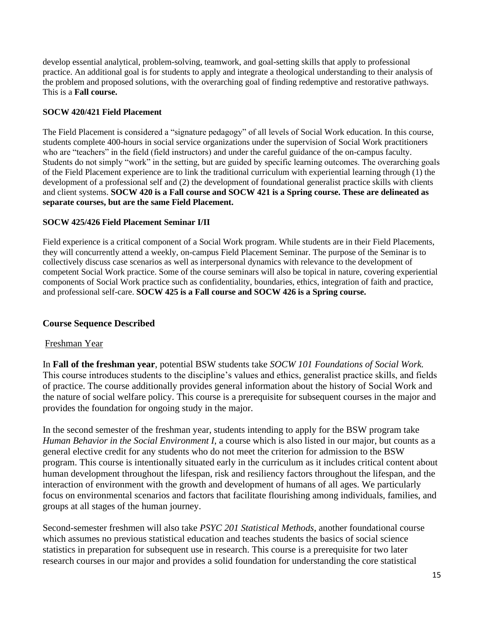develop essential analytical, problem-solving, teamwork, and goal-setting skills that apply to professional practice. An additional goal is for students to apply and integrate a theological understanding to their analysis of the problem and proposed solutions, with the overarching goal of finding redemptive and restorative pathways. This is a **Fall course.**

### **SOCW 420/421 Field Placement**

The Field Placement is considered a "signature pedagogy" of all levels of Social Work education. In this course, students complete 400-hours in social service organizations under the supervision of Social Work practitioners who are "teachers" in the field (field instructors) and under the careful guidance of the on-campus faculty. Students do not simply "work" in the setting, but are guided by specific learning outcomes. The overarching goals of the Field Placement experience are to link the traditional curriculum with experiential learning through (1) the development of a professional self and (2) the development of foundational generalist practice skills with clients and client systems. **SOCW 420 is a Fall course and SOCW 421 is a Spring course. These are delineated as separate courses, but are the same Field Placement.** 

### **SOCW 425/426 Field Placement Seminar I/II**

Field experience is a critical component of a Social Work program. While students are in their Field Placements, they will concurrently attend a weekly, on-campus Field Placement Seminar. The purpose of the Seminar is to collectively discuss case scenarios as well as interpersonal dynamics with relevance to the development of competent Social Work practice. Some of the course seminars will also be topical in nature, covering experiential components of Social Work practice such as confidentiality, boundaries, ethics, integration of faith and practice, and professional self-care. **SOCW 425 is a Fall course and SOCW 426 is a Spring course.** 

### <span id="page-14-0"></span>**Course Sequence Described**

### Freshman Year

In **Fall of the freshman year**, potential BSW students take *SOCW 101 Foundations of Social Work.*  This course introduces students to the discipline's values and ethics, generalist practice skills, and fields of practice. The course additionally provides general information about the history of Social Work and the nature of social welfare policy. This course is a prerequisite for subsequent courses in the major and provides the foundation for ongoing study in the major.

In the second semester of the freshman year, students intending to apply for the BSW program take *Human Behavior in the Social Environment I*, a course which is also listed in our major, but counts as a general elective credit for any students who do not meet the criterion for admission to the BSW program. This course is intentionally situated early in the curriculum as it includes critical content about human development throughout the lifespan, risk and resiliency factors throughout the lifespan, and the interaction of environment with the growth and development of humans of all ages. We particularly focus on environmental scenarios and factors that facilitate flourishing among individuals, families, and groups at all stages of the human journey.

Second-semester freshmen will also take *PSYC 201 Statistical Methods*, another foundational course which assumes no previous statistical education and teaches students the basics of social science statistics in preparation for subsequent use in research. This course is a prerequisite for two later research courses in our major and provides a solid foundation for understanding the core statistical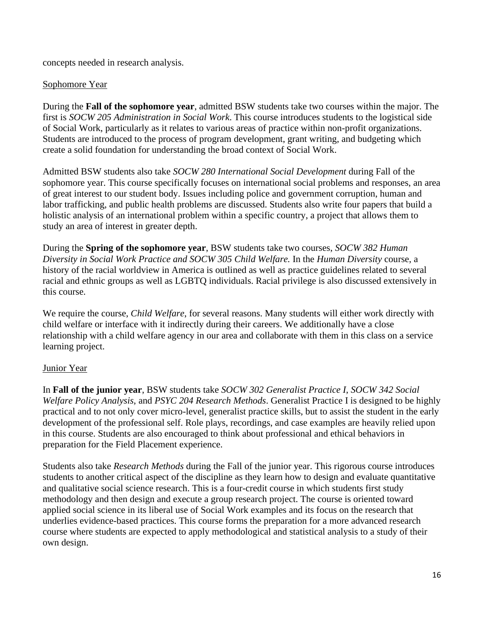concepts needed in research analysis.

## Sophomore Year

During the **Fall of the sophomore year**, admitted BSW students take two courses within the major. The first is *SOCW 205 Administration in Social Work*. This course introduces students to the logistical side of Social Work, particularly as it relates to various areas of practice within non-profit organizations. Students are introduced to the process of program development, grant writing, and budgeting which create a solid foundation for understanding the broad context of Social Work.

Admitted BSW students also take *SOCW 280 International Social Development* during Fall of the sophomore year. This course specifically focuses on international social problems and responses, an area of great interest to our student body. Issues including police and government corruption, human and labor trafficking, and public health problems are discussed. Students also write four papers that build a holistic analysis of an international problem within a specific country, a project that allows them to study an area of interest in greater depth.

During the **Spring of the sophomore year**, BSW students take two courses, *SOCW 382 Human Diversity in Social Work Practice and SOCW 305 Child Welfare.* In the *Human Diversity* course, a history of the racial worldview in America is outlined as well as practice guidelines related to several racial and ethnic groups as well as LGBTQ individuals. Racial privilege is also discussed extensively in this course.

We require the course, *Child Welfare*, for several reasons. Many students will either work directly with child welfare or interface with it indirectly during their careers. We additionally have a close relationship with a child welfare agency in our area and collaborate with them in this class on a service learning project.

# Junior Year

In **Fall of the junior year**, BSW students take *SOCW 302 Generalist Practice I*, *SOCW 342 Social Welfare Policy Analysis*, and *PSYC 204 Research Methods*. Generalist Practice I is designed to be highly practical and to not only cover micro-level, generalist practice skills, but to assist the student in the early development of the professional self. Role plays, recordings, and case examples are heavily relied upon in this course. Students are also encouraged to think about professional and ethical behaviors in preparation for the Field Placement experience.

Students also take *Research Methods* during the Fall of the junior year. This rigorous course introduces students to another critical aspect of the discipline as they learn how to design and evaluate quantitative and qualitative social science research. This is a four-credit course in which students first study methodology and then design and execute a group research project. The course is oriented toward applied social science in its liberal use of Social Work examples and its focus on the research that underlies evidence-based practices. This course forms the preparation for a more advanced research course where students are expected to apply methodological and statistical analysis to a study of their own design.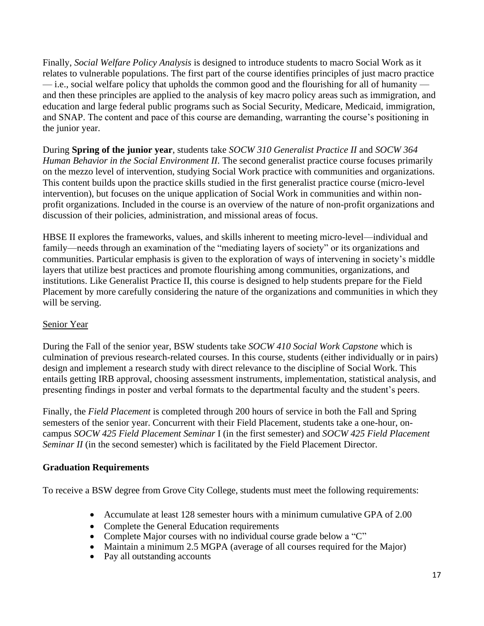Finally, *Social Welfare Policy Analysis* is designed to introduce students to macro Social Work as it relates to vulnerable populations. The first part of the course identifies principles of just macro practice  $-$  i.e., social welfare policy that upholds the common good and the flourishing for all of humanity  $$ and then these principles are applied to the analysis of key macro policy areas such as immigration, and education and large federal public programs such as Social Security, Medicare, Medicaid, immigration, and SNAP. The content and pace of this course are demanding, warranting the course's positioning in the junior year.

During **Spring of the junior year**, students take *SOCW 310 Generalist Practice II* and *SOCW 364 Human Behavior in the Social Environment II*. The second generalist practice course focuses primarily on the mezzo level of intervention, studying Social Work practice with communities and organizations. This content builds upon the practice skills studied in the first generalist practice course (micro-level intervention), but focuses on the unique application of Social Work in communities and within nonprofit organizations. Included in the course is an overview of the nature of non-profit organizations and discussion of their policies, administration, and missional areas of focus.

HBSE II explores the frameworks, values, and skills inherent to meeting micro-level—individual and family—needs through an examination of the "mediating layers of society" or its organizations and communities. Particular emphasis is given to the exploration of ways of intervening in society's middle layers that utilize best practices and promote flourishing among communities, organizations, and institutions. Like Generalist Practice II, this course is designed to help students prepare for the Field Placement by more carefully considering the nature of the organizations and communities in which they will be serving.

# Senior Year

During the Fall of the senior year, BSW students take *SOCW 410 Social Work Capstone* which is culmination of previous research-related courses. In this course, students (either individually or in pairs) design and implement a research study with direct relevance to the discipline of Social Work. This entails getting IRB approval, choosing assessment instruments, implementation, statistical analysis, and presenting findings in poster and verbal formats to the departmental faculty and the student's peers.

Finally, the *Field Placement* is completed through 200 hours of service in both the Fall and Spring semesters of the senior year. Concurrent with their Field Placement, students take a one-hour, oncampus *SOCW 425 Field Placement Seminar* I (in the first semester) and *SOCW 425 Field Placement Seminar II* (in the second semester) which is facilitated by the Field Placement Director.

### <span id="page-16-0"></span>**Graduation Requirements**

To receive a BSW degree from Grove City College, students must meet the following requirements:

- Accumulate at least 128 semester hours with a minimum cumulative GPA of 2.00
- Complete the General Education requirements
- Complete Major courses with no individual course grade below a "C"
- Maintain a minimum 2.5 MGPA (average of all courses required for the Major)
- Pay all outstanding accounts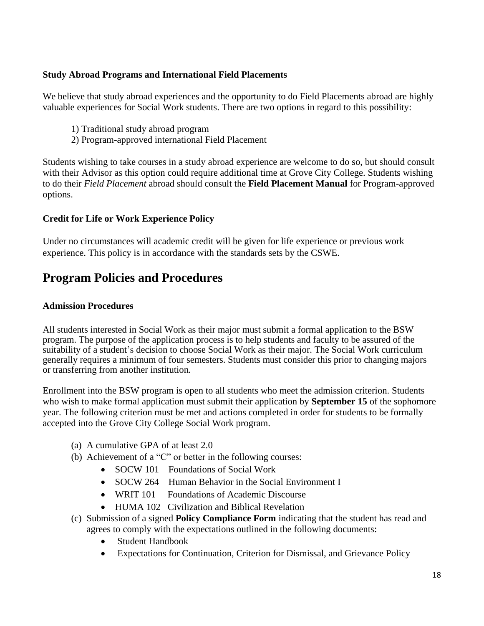### <span id="page-17-0"></span>**Study Abroad Programs and International Field Placements**

We believe that study abroad experiences and the opportunity to do Field Placements abroad are highly valuable experiences for Social Work students. There are two options in regard to this possibility:

- 1) Traditional study abroad program
- 2) Program-approved international Field Placement

Students wishing to take courses in a study abroad experience are welcome to do so, but should consult with their Advisor as this option could require additional time at Grove City College. Students wishing to do their *Field Placement* abroad should consult the **Field Placement Manual** for Program-approved options.

## <span id="page-17-1"></span>**Credit for Life or Work Experience Policy**

Under no circumstances will academic credit will be given for life experience or previous work experience. This policy is in accordance with the standards sets by the CSWE.

# <span id="page-17-2"></span>**Program Policies and Procedures**

### <span id="page-17-3"></span>**Admission Procedures**

All students interested in Social Work as their major must submit a formal application to the BSW program. The purpose of the application process is to help students and faculty to be assured of the suitability of a student's decision to choose Social Work as their major. The Social Work curriculum generally requires a minimum of four semesters. Students must consider this prior to changing majors or transferring from another institution*.*

Enrollment into the BSW program is open to all students who meet the admission criterion. Students who wish to make formal application must submit their application by **September 15** of the sophomore year. The following criterion must be met and actions completed in order for students to be formally accepted into the Grove City College Social Work program.

- (a) A cumulative GPA of at least 2.0
- (b) Achievement of a "C" or better in the following courses:
	- SOCW 101 Foundations of Social Work
	- SOCW 264 Human Behavior in the Social Environment I
	- WRIT 101 Foundations of Academic Discourse
	- HUMA 102 Civilization and Biblical Revelation
- (c) Submission of a signed **Policy Compliance Form** indicating that the student has read and agrees to comply with the expectations outlined in the following documents:
	- Student Handbook
	- Expectations for Continuation, Criterion for Dismissal, and Grievance Policy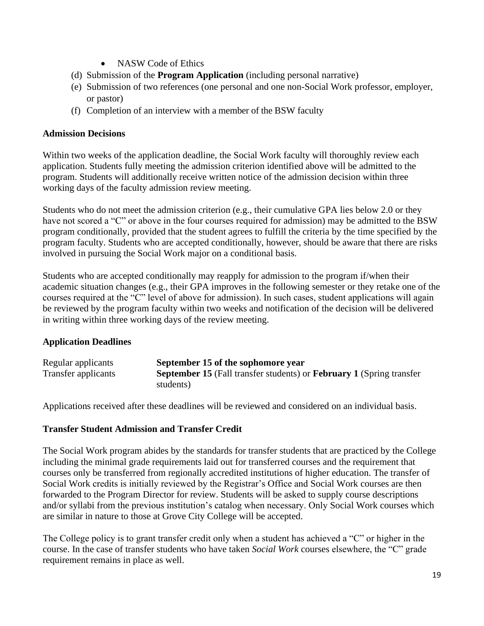- NASW Code of Ethics
- (d) Submission of the **Program Application** (including personal narrative)
- (e) Submission of two references (one personal and one non-Social Work professor, employer, or pastor)
- (f) Completion of an interview with a member of the BSW faculty

### <span id="page-18-0"></span>**Admission Decisions**

Within two weeks of the application deadline, the Social Work faculty will thoroughly review each application. Students fully meeting the admission criterion identified above will be admitted to the program. Students will additionally receive written notice of the admission decision within three working days of the faculty admission review meeting.

Students who do not meet the admission criterion (e.g., their cumulative GPA lies below 2.0 or they have not scored a "C" or above in the four courses required for admission) may be admitted to the BSW program conditionally, provided that the student agrees to fulfill the criteria by the time specified by the program faculty. Students who are accepted conditionally, however, should be aware that there are risks involved in pursuing the Social Work major on a conditional basis.

Students who are accepted conditionally may reapply for admission to the program if/when their academic situation changes (e.g., their GPA improves in the following semester or they retake one of the courses required at the "C" level of above for admission). In such cases, student applications will again be reviewed by the program faculty within two weeks and notification of the decision will be delivered in writing within three working days of the review meeting.

### <span id="page-18-1"></span>**Application Deadlines**

| Regular applicants  | September 15 of the sophomore year                                                 |
|---------------------|------------------------------------------------------------------------------------|
| Transfer applicants | <b>September 15</b> (Fall transfer students) or <b>February 1</b> (Spring transfer |
|                     | students)                                                                          |

Applications received after these deadlines will be reviewed and considered on an individual basis.

### <span id="page-18-2"></span>**Transfer Student Admission and Transfer Credit**

The Social Work program abides by the standards for transfer students that are practiced by the College including the minimal grade requirements laid out for transferred courses and the requirement that courses only be transferred from regionally accredited institutions of higher education. The transfer of Social Work credits is initially reviewed by the Registrar's Office and Social Work courses are then forwarded to the Program Director for review. Students will be asked to supply course descriptions and/or syllabi from the previous institution's catalog when necessary. Only Social Work courses which are similar in nature to those at Grove City College will be accepted.

The College policy is to grant transfer credit only when a student has achieved a "C" or higher in the course. In the case of transfer students who have taken *Social Work* courses elsewhere, the "C" grade requirement remains in place as well.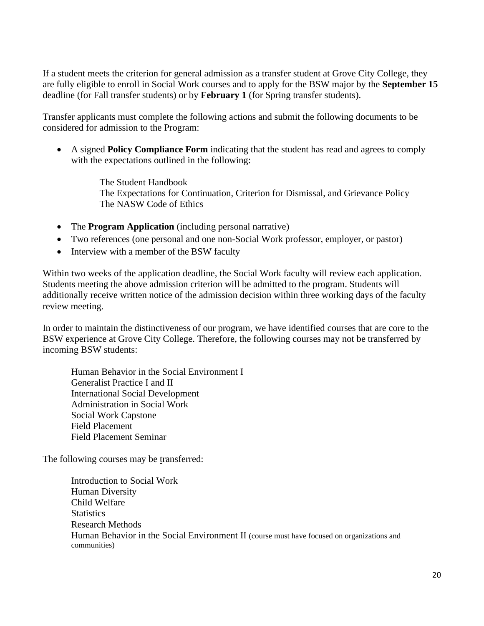If a student meets the criterion for general admission as a transfer student at Grove City College, they are fully eligible to enroll in Social Work courses and to apply for the BSW major by the **September 15** deadline (for Fall transfer students) or by **February 1** (for Spring transfer students).

Transfer applicants must complete the following actions and submit the following documents to be considered for admission to the Program:

• A signed **Policy Compliance Form** indicating that the student has read and agrees to comply with the expectations outlined in the following:

> The Student Handbook The Expectations for Continuation, Criterion for Dismissal, and Grievance Policy The NASW Code of Ethics

- The **Program Application** (including personal narrative)
- Two references (one personal and one non-Social Work professor, employer, or pastor)
- Interview with a member of the BSW faculty

Within two weeks of the application deadline, the Social Work faculty will review each application. Students meeting the above admission criterion will be admitted to the program. Students will additionally receive written notice of the admission decision within three working days of the faculty review meeting.

In order to maintain the distinctiveness of our program, we have identified courses that are core to the BSW experience at Grove City College. Therefore, the following courses may not be transferred by incoming BSW students:

Human Behavior in the Social Environment I Generalist Practice I and II International Social Development Administration in Social Work Social Work Capstone Field Placement Field Placement Seminar

The following courses may be transferred:

Introduction to Social Work Human Diversity Child Welfare **Statistics** Research Methods Human Behavior in the Social Environment II (course must have focused on organizations and communities)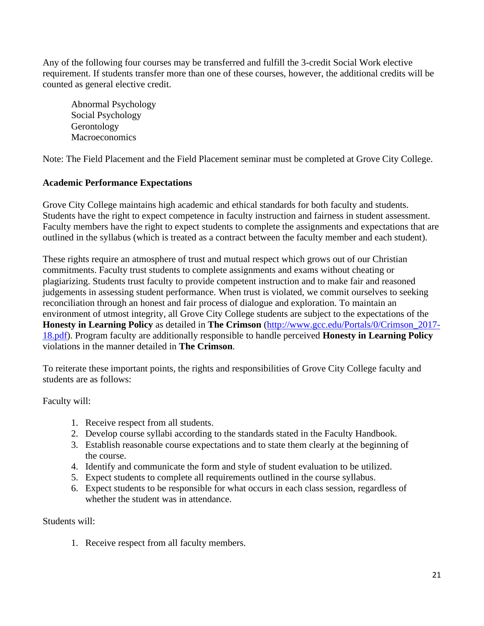Any of the following four courses may be transferred and fulfill the 3-credit Social Work elective requirement. If students transfer more than one of these courses, however, the additional credits will be counted as general elective credit.

Abnormal Psychology Social Psychology Gerontology **Macroeconomics** 

Note: The Field Placement and the Field Placement seminar must be completed at Grove City College.

# <span id="page-20-0"></span>**Academic Performance Expectations**

Grove City College maintains high academic and ethical standards for both faculty and students. Students have the right to expect competence in faculty instruction and fairness in student assessment. Faculty members have the right to expect students to complete the assignments and expectations that are outlined in the syllabus (which is treated as a contract between the faculty member and each student).

These rights require an atmosphere of trust and mutual respect which grows out of our Christian commitments. Faculty trust students to complete assignments and exams without cheating or plagiarizing. Students trust faculty to provide competent instruction and to make fair and reasoned judgements in assessing student performance. When trust is violated, we commit ourselves to seeking reconciliation through an honest and fair process of dialogue and exploration. To maintain an environment of utmost integrity, all Grove City College students are subject to the expectations of the **Honesty in Learning Policy** as detailed in **The Crimson** [\(http://www.gcc.edu/Portals/0/Crimson\\_2017-](http://www.gcc.edu/Portals/0/Crimson_2017-18.pdf) [18.pdf\)](http://www.gcc.edu/Portals/0/Crimson_2017-18.pdf). Program faculty are additionally responsible to handle perceived **Honesty in Learning Policy** violations in the manner detailed in **The Crimson**.

To reiterate these important points, the rights and responsibilities of Grove City College faculty and students are as follows:

Faculty will:

- 1. Receive respect from all students.
- 2. Develop course syllabi according to the standards stated in the Faculty Handbook.
- 3. Establish reasonable course expectations and to state them clearly at the beginning of the course.
- 4. Identify and communicate the form and style of student evaluation to be utilized.
- 5. Expect students to complete all requirements outlined in the course syllabus.
- 6. Expect students to be responsible for what occurs in each class session, regardless of whether the student was in attendance.

Students will:

1. Receive respect from all faculty members.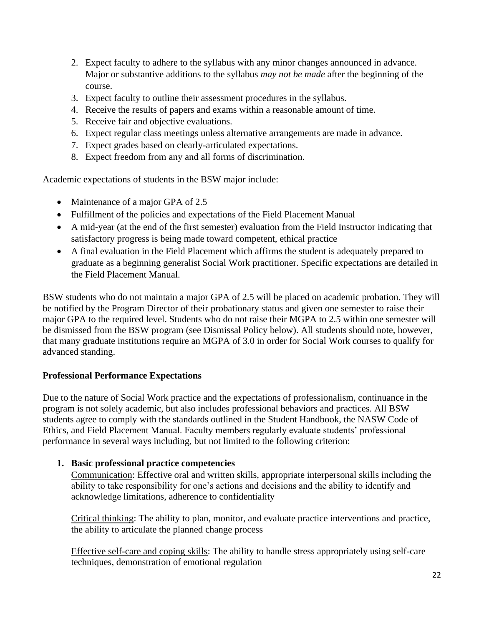- 2. Expect faculty to adhere to the syllabus with any minor changes announced in advance. Major or substantive additions to the syllabus *may not be made* after the beginning of the course.
- 3. Expect faculty to outline their assessment procedures in the syllabus.
- 4. Receive the results of papers and exams within a reasonable amount of time.
- 5. Receive fair and objective evaluations.
- 6. Expect regular class meetings unless alternative arrangements are made in advance.
- 7. Expect grades based on clearly-articulated expectations.
- 8. Expect freedom from any and all forms of discrimination.

Academic expectations of students in the BSW major include:

- Maintenance of a major GPA of 2.5
- Fulfillment of the policies and expectations of the Field Placement Manual
- A mid-year (at the end of the first semester) evaluation from the Field Instructor indicating that satisfactory progress is being made toward competent, ethical practice
- A final evaluation in the Field Placement which affirms the student is adequately prepared to graduate as a beginning generalist Social Work practitioner. Specific expectations are detailed in the Field Placement Manual.

BSW students who do not maintain a major GPA of 2.5 will be placed on academic probation. They will be notified by the Program Director of their probationary status and given one semester to raise their major GPA to the required level. Students who do not raise their MGPA to 2.5 within one semester will be dismissed from the BSW program (see Dismissal Policy below). All students should note, however, that many graduate institutions require an MGPA of 3.0 in order for Social Work courses to qualify for advanced standing.

### <span id="page-21-0"></span>**Professional Performance Expectations**

Due to the nature of Social Work practice and the expectations of professionalism, continuance in the program is not solely academic, but also includes professional behaviors and practices. All BSW students agree to comply with the standards outlined in the Student Handbook, the NASW Code of Ethics, and Field Placement Manual. Faculty members regularly evaluate students' professional performance in several ways including, but not limited to the following criterion:

### **1. Basic professional practice competencies**

Communication: Effective oral and written skills, appropriate interpersonal skills including the ability to take responsibility for one's actions and decisions and the ability to identify and acknowledge limitations, adherence to confidentiality

Critical thinking: The ability to plan, monitor, and evaluate practice interventions and practice, the ability to articulate the planned change process

Effective self-care and coping skills: The ability to handle stress appropriately using self-care techniques, demonstration of emotional regulation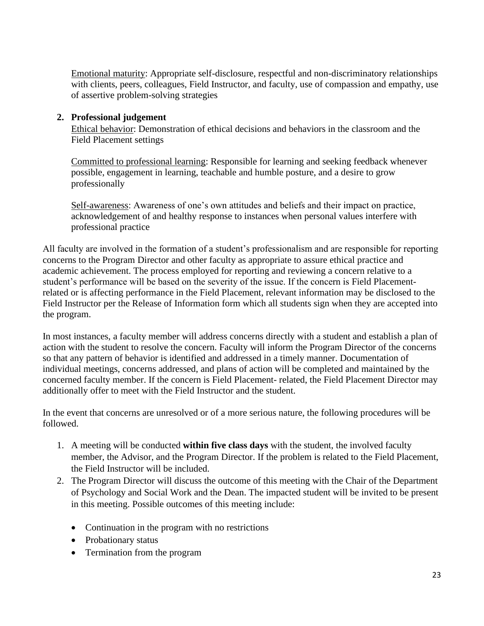Emotional maturity: Appropriate self-disclosure, respectful and non-discriminatory relationships with clients, peers, colleagues, Field Instructor, and faculty, use of compassion and empathy, use of assertive problem-solving strategies

### **2. Professional judgement**

Ethical behavior: Demonstration of ethical decisions and behaviors in the classroom and the Field Placement settings

Committed to professional learning: Responsible for learning and seeking feedback whenever possible, engagement in learning, teachable and humble posture, and a desire to grow professionally

Self-awareness: Awareness of one's own attitudes and beliefs and their impact on practice, acknowledgement of and healthy response to instances when personal values interfere with professional practice

All faculty are involved in the formation of a student's professionalism and are responsible for reporting concerns to the Program Director and other faculty as appropriate to assure ethical practice and academic achievement. The process employed for reporting and reviewing a concern relative to a student's performance will be based on the severity of the issue. If the concern is Field Placementrelated or is affecting performance in the Field Placement, relevant information may be disclosed to the Field Instructor per the Release of Information form which all students sign when they are accepted into the program.

In most instances, a faculty member will address concerns directly with a student and establish a plan of action with the student to resolve the concern. Faculty will inform the Program Director of the concerns so that any pattern of behavior is identified and addressed in a timely manner. Documentation of individual meetings, concerns addressed, and plans of action will be completed and maintained by the concerned faculty member. If the concern is Field Placement- related, the Field Placement Director may additionally offer to meet with the Field Instructor and the student.

In the event that concerns are unresolved or of a more serious nature, the following procedures will be followed.

- 1. A meeting will be conducted **within five class days** with the student, the involved faculty member, the Advisor, and the Program Director. If the problem is related to the Field Placement, the Field Instructor will be included.
- 2. The Program Director will discuss the outcome of this meeting with the Chair of the Department of Psychology and Social Work and the Dean. The impacted student will be invited to be present in this meeting. Possible outcomes of this meeting include:
	- Continuation in the program with no restrictions
	- Probationary status
	- Termination from the program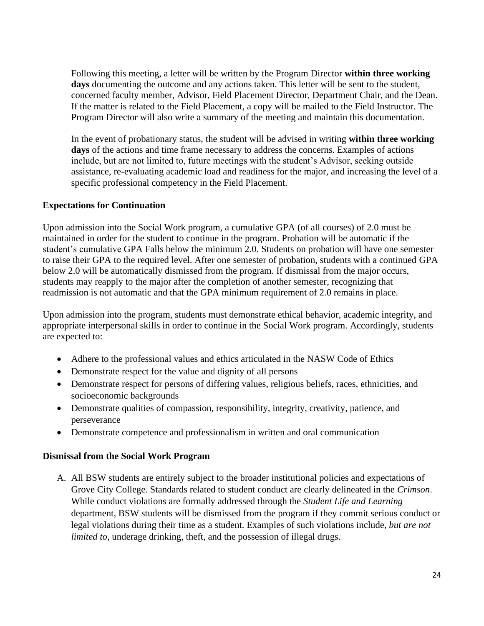Following this meeting, a letter will be written by the Program Director **within three working days** documenting the outcome and any actions taken. This letter will be sent to the student, concerned faculty member, Advisor, Field Placement Director, Department Chair, and the Dean. If the matter is related to the Field Placement, a copy will be mailed to the Field Instructor. The Program Director will also write a summary of the meeting and maintain this documentation.

In the event of probationary status, the student will be advised in writing **within three working days** of the actions and time frame necessary to address the concerns. Examples of actions include, but are not limited to, future meetings with the student's Advisor, seeking outside assistance, re-evaluating academic load and readiness for the major, and increasing the level of a specific professional competency in the Field Placement.

### <span id="page-23-0"></span>**Expectations for Continuation**

Upon admission into the Social Work program, a cumulative GPA (of all courses) of 2.0 must be maintained in order for the student to continue in the program. Probation will be automatic if the student's cumulative GPA Falls below the minimum 2.0. Students on probation will have one semester to raise their GPA to the required level. After one semester of probation, students with a continued GPA below 2.0 will be automatically dismissed from the program. If dismissal from the major occurs, students may reapply to the major after the completion of another semester, recognizing that readmission is not automatic and that the GPA minimum requirement of 2.0 remains in place.

Upon admission into the program, students must demonstrate ethical behavior, academic integrity, and appropriate interpersonal skills in order to continue in the Social Work program. Accordingly, students are expected to:

- Adhere to the professional values and ethics articulated in the NASW Code of Ethics
- Demonstrate respect for the value and dignity of all persons
- Demonstrate respect for persons of differing values, religious beliefs, races, ethnicities, and socioeconomic backgrounds
- Demonstrate qualities of compassion, responsibility, integrity, creativity, patience, and perseverance
- Demonstrate competence and professionalism in written and oral communication

### <span id="page-23-1"></span>**Dismissal from the Social Work Program**

A. All BSW students are entirely subject to the broader institutional policies and expectations of Grove City College. Standards related to student conduct are clearly delineated in the *Crimson*. While conduct violations are formally addressed through the *Student Life and Learning* department, BSW students will be dismissed from the program if they commit serious conduct or legal violations during their time as a student. Examples of such violations include, *but are not limited to*, underage drinking, theft, and the possession of illegal drugs.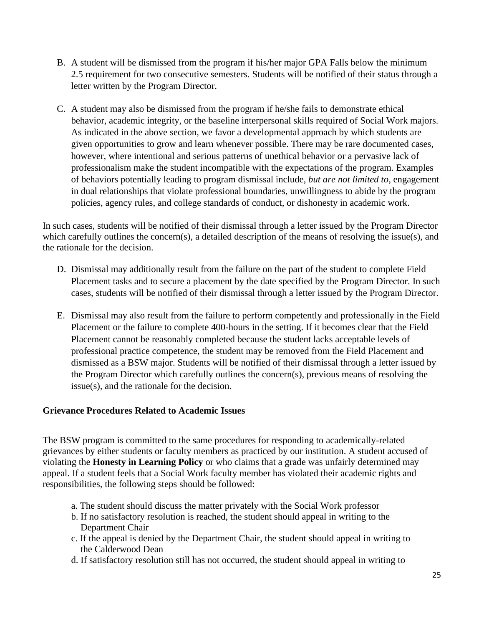- B. A student will be dismissed from the program if his/her major GPA Falls below the minimum 2.5 requirement for two consecutive semesters. Students will be notified of their status through a letter written by the Program Director.
- C. A student may also be dismissed from the program if he/she fails to demonstrate ethical behavior, academic integrity, or the baseline interpersonal skills required of Social Work majors. As indicated in the above section, we favor a developmental approach by which students are given opportunities to grow and learn whenever possible. There may be rare documented cases, however, where intentional and serious patterns of unethical behavior or a pervasive lack of professionalism make the student incompatible with the expectations of the program. Examples of behaviors potentially leading to program dismissal include, *but are not limited to*, engagement in dual relationships that violate professional boundaries, unwillingness to abide by the program policies, agency rules, and college standards of conduct, or dishonesty in academic work.

In such cases, students will be notified of their dismissal through a letter issued by the Program Director which carefully outlines the concern(s), a detailed description of the means of resolving the issue(s), and the rationale for the decision.

- D. Dismissal may additionally result from the failure on the part of the student to complete Field Placement tasks and to secure a placement by the date specified by the Program Director. In such cases, students will be notified of their dismissal through a letter issued by the Program Director.
- E. Dismissal may also result from the failure to perform competently and professionally in the Field Placement or the failure to complete 400-hours in the setting. If it becomes clear that the Field Placement cannot be reasonably completed because the student lacks acceptable levels of professional practice competence, the student may be removed from the Field Placement and dismissed as a BSW major. Students will be notified of their dismissal through a letter issued by the Program Director which carefully outlines the concern(s), previous means of resolving the issue(s), and the rationale for the decision.

### <span id="page-24-0"></span>**Grievance Procedures Related to Academic Issues**

The BSW program is committed to the same procedures for responding to academically-related grievances by either students or faculty members as practiced by our institution. A student accused of violating the **Honesty in Learning Policy** or who claims that a grade was unfairly determined may appeal. If a student feels that a Social Work faculty member has violated their academic rights and responsibilities, the following steps should be followed:

- a. The student should discuss the matter privately with the Social Work professor
- b. If no satisfactory resolution is reached, the student should appeal in writing to the Department Chair
- c. If the appeal is denied by the Department Chair, the student should appeal in writing to the Calderwood Dean
- d. If satisfactory resolution still has not occurred, the student should appeal in writing to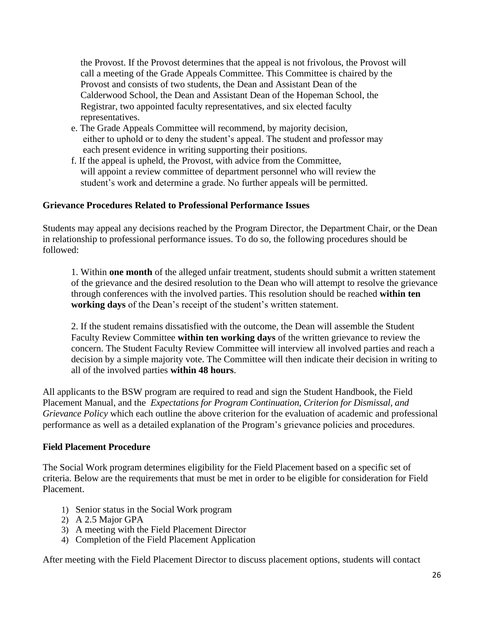the Provost. If the Provost determines that the appeal is not frivolous, the Provost will call a meeting of the Grade Appeals Committee. This Committee is chaired by the Provost and consists of two students, the Dean and Assistant Dean of the Calderwood School, the Dean and Assistant Dean of the Hopeman School, the Registrar, two appointed faculty representatives, and six elected faculty representatives.

- e. The Grade Appeals Committee will recommend, by majority decision, either to uphold or to deny the student's appeal. The student and professor may each present evidence in writing supporting their positions.
- f. If the appeal is upheld, the Provost, with advice from the Committee, will appoint a review committee of department personnel who will review the student's work and determine a grade. No further appeals will be permitted.

### <span id="page-25-0"></span>**Grievance Procedures Related to Professional Performance Issues**

Students may appeal any decisions reached by the Program Director, the Department Chair, or the Dean in relationship to professional performance issues. To do so, the following procedures should be followed:

1. Within **one month** of the alleged unfair treatment, students should submit a written statement of the grievance and the desired resolution to the Dean who will attempt to resolve the grievance through conferences with the involved parties. This resolution should be reached **within ten working days** of the Dean's receipt of the student's written statement.

2. If the student remains dissatisfied with the outcome, the Dean will assemble the Student Faculty Review Committee **within ten working days** of the written grievance to review the concern. The Student Faculty Review Committee will interview all involved parties and reach a decision by a simple majority vote. The Committee will then indicate their decision in writing to all of the involved parties **within 48 hours**.

All applicants to the BSW program are required to read and sign the Student Handbook, the Field Placement Manual, and the *Expectations for Program Continuation, Criterion for Dismissal, and Grievance Policy* which each outline the above criterion for the evaluation of academic and professional performance as well as a detailed explanation of the Program's grievance policies and procedures.

### <span id="page-25-1"></span>**Field Placement Procedure**

The Social Work program determines eligibility for the Field Placement based on a specific set of criteria. Below are the requirements that must be met in order to be eligible for consideration for Field Placement.

- 1) Senior status in the Social Work program
- 2) A 2.5 Major GPA
- 3) A meeting with the Field Placement Director
- 4) Completion of the Field Placement Application

After meeting with the Field Placement Director to discuss placement options, students will contact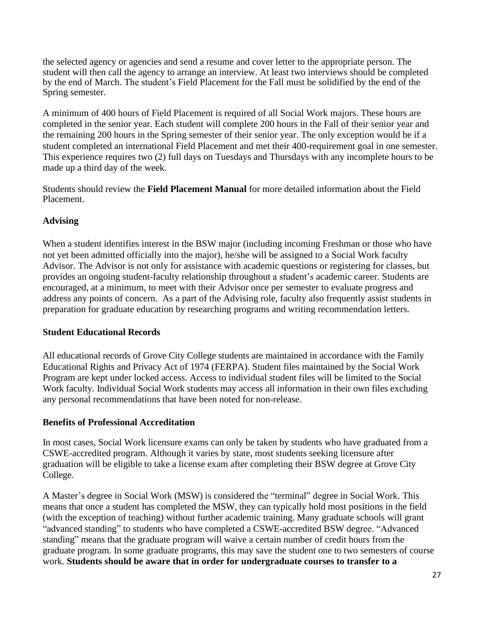the selected agency or agencies and send a resume and cover letter to the appropriate person. The student will then call the agency to arrange an interview. At least two interviews should be completed by the end of March. The student's Field Placement for the Fall must be solidified by the end of the Spring semester.

A minimum of 400 hours of Field Placement is required of all Social Work majors. These hours are completed in the senior year. Each student will complete 200 hours in the Fall of their senior year and the remaining 200 hours in the Spring semester of their senior year. The only exception would be if a student completed an international Field Placement and met their 400-requirement goal in one semester. This experience requires two (2) full days on Tuesdays and Thursdays with any incomplete hours to be made up a third day of the week.

Students should review the **Field Placement Manual** for more detailed information about the Field Placement.

# <span id="page-26-0"></span>**Advising**

When a student identifies interest in the BSW major (including incoming Freshman or those who have not yet been admitted officially into the major), he/she will be assigned to a Social Work faculty Advisor. The Advisor is not only for assistance with academic questions or registering for classes, but provides an ongoing student-faculty relationship throughout a student's academic career. Students are encouraged, at a minimum, to meet with their Advisor once per semester to evaluate progress and address any points of concern. As a part of the Advising role, faculty also frequently assist students in preparation for graduate education by researching programs and writing recommendation letters.

### <span id="page-26-1"></span>**Student Educational Records**

All educational records of Grove City College students are maintained in accordance with the Family Educational Rights and Privacy Act of 1974 (FERPA). Student files maintained by the Social Work Program are kept under locked access. Access to individual student files will be limited to the Social Work faculty. Individual Social Work students may access all information in their own files excluding any personal recommendations that have been noted for non-release.

### <span id="page-26-2"></span>**Benefits of Professional Accreditation**

In most cases, Social Work licensure exams can only be taken by students who have graduated from a CSWE-accredited program. Although it varies by state, most students seeking licensure after graduation will be eligible to take a license exam after completing their BSW degree at Grove City College.

A Master's degree in Social Work (MSW) is considered the "terminal" degree in Social Work. This means that once a student has completed the MSW, they can typically hold most positions in the field (with the exception of teaching) without further academic training. Many graduate schools will grant "advanced standing" to students who have completed a CSWE-accredited BSW degree. "Advanced standing" means that the graduate program will waive a certain number of credit hours from the graduate program. In some graduate programs, this may save the student one to two semesters of course work. **Students should be aware that in order for undergraduate courses to transfer to a**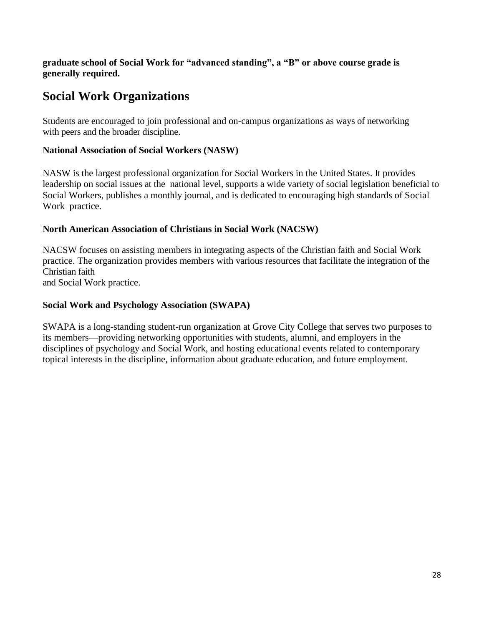### **graduate school of Social Work for "advanced standing", a "B" or above course grade is generally required.**

# <span id="page-27-0"></span>**Social Work Organizations**

Students are encouraged to join professional and on-campus organizations as ways of networking with peers and the broader discipline.

## <span id="page-27-1"></span>**National Association of Social Workers (NASW)**

NASW is the largest professional organization for Social Workers in the United States. It provides leadership on social issues at the national level, supports a wide variety of social legislation beneficial to Social Workers, publishes a monthly journal, and is dedicated to encouraging high standards of Social Work practice.

### <span id="page-27-2"></span>**North American Association of Christians in Social Work (NACSW)**

NACSW focuses on assisting members in integrating aspects of the Christian faith and Social Work practice. The organization provides members with various resources that facilitate the integration of the Christian faith

and Social Work practice.

## <span id="page-27-3"></span>**Social Work and Psychology Association (SWAPA)**

SWAPA is a long-standing student-run organization at Grove City College that serves two purposes to its members—providing networking opportunities with students, alumni, and employers in the disciplines of psychology and Social Work, and hosting educational events related to contemporary topical interests in the discipline, information about graduate education, and future employment.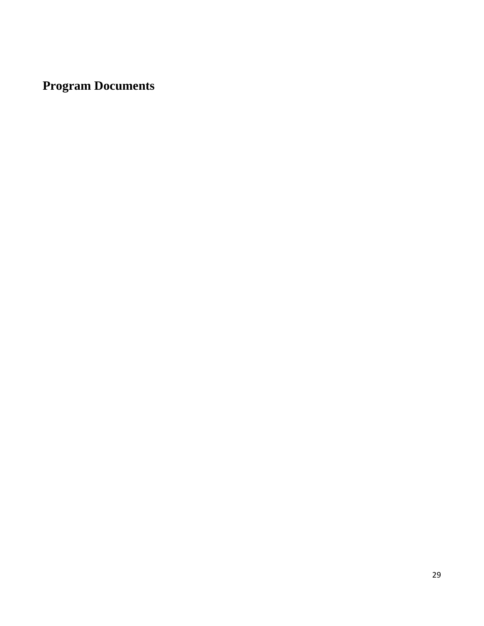<span id="page-28-0"></span>**Program Documents**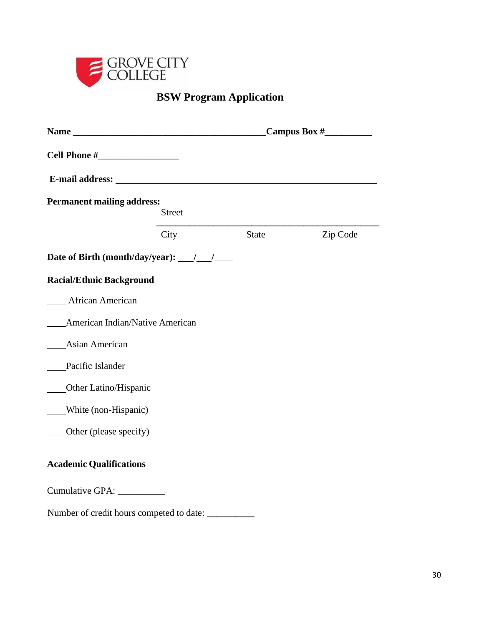

# **BSW Program Application**

<span id="page-29-0"></span>

| E-mail address: <u>experience</u> and the contract of the contract of the contract of the contract of the contract of the contract of the contract of the contract of the contract of the contract of the contract of the contract |        |       |          |
|------------------------------------------------------------------------------------------------------------------------------------------------------------------------------------------------------------------------------------|--------|-------|----------|
|                                                                                                                                                                                                                                    |        |       |          |
|                                                                                                                                                                                                                                    | Street |       |          |
|                                                                                                                                                                                                                                    | City   | State | Zip Code |
| Date of Birth (month/day/year): $\frac{1}{\sqrt{2}}$                                                                                                                                                                               |        |       |          |
| <b>Racial/Ethnic Background</b>                                                                                                                                                                                                    |        |       |          |
| <b>African American</b>                                                                                                                                                                                                            |        |       |          |
| American Indian/Native American                                                                                                                                                                                                    |        |       |          |
| ___Asian American                                                                                                                                                                                                                  |        |       |          |
| Pacific Islander                                                                                                                                                                                                                   |        |       |          |
| Other Latino/Hispanic                                                                                                                                                                                                              |        |       |          |
| White (non-Hispanic)                                                                                                                                                                                                               |        |       |          |
| Other (please specify)                                                                                                                                                                                                             |        |       |          |
| <b>Academic Qualifications</b>                                                                                                                                                                                                     |        |       |          |
| Cumulative GPA: ____________                                                                                                                                                                                                       |        |       |          |
| Number of credit hours competed to date:                                                                                                                                                                                           |        |       |          |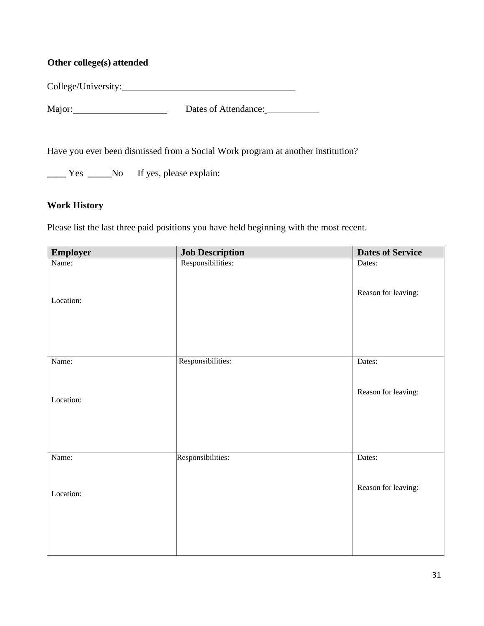# **Other college(s) attended**

College/University: Major: Dates of Attendance: \_\_\_\_\_\_\_\_\_\_\_

Have you ever been dismissed from a Social Work program at another institution?

**\_\_\_\_** Yes **\_\_\_\_\_**No If yes, please explain:

# **Work History**

Please list the last three paid positions you have held beginning with the most recent.

| <b>Employer</b> | <b>Job Description</b> | <b>Dates of Service</b> |
|-----------------|------------------------|-------------------------|
| Name:           | Responsibilities:      | Dates:                  |
| Location:       |                        | Reason for leaving:     |
|                 |                        |                         |
|                 |                        |                         |
| Name:           | Responsibilities:      | Dates:                  |
| Location:       |                        | Reason for leaving:     |
|                 |                        |                         |
|                 |                        |                         |
| Name:           | Responsibilities:      | Dates:                  |
| Location:       |                        | Reason for leaving:     |
|                 |                        |                         |
|                 |                        |                         |
|                 |                        |                         |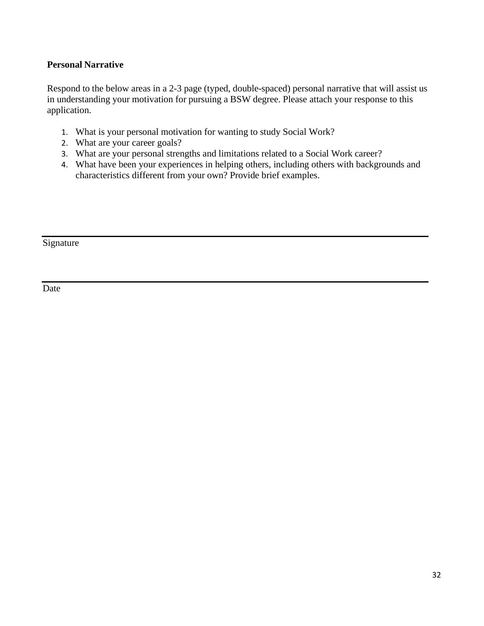## **Personal Narrative**

Respond to the below areas in a 2-3 page (typed, double-spaced) personal narrative that will assist us in understanding your motivation for pursuing a BSW degree. Please attach your response to this application.

- 1. What is your personal motivation for wanting to study Social Work?
- 2. What are your career goals?
- 3. What are your personal strengths and limitations related to a Social Work career?
- 4. What have been your experiences in helping others, including others with backgrounds and characteristics different from your own? Provide brief examples.

Signature

Date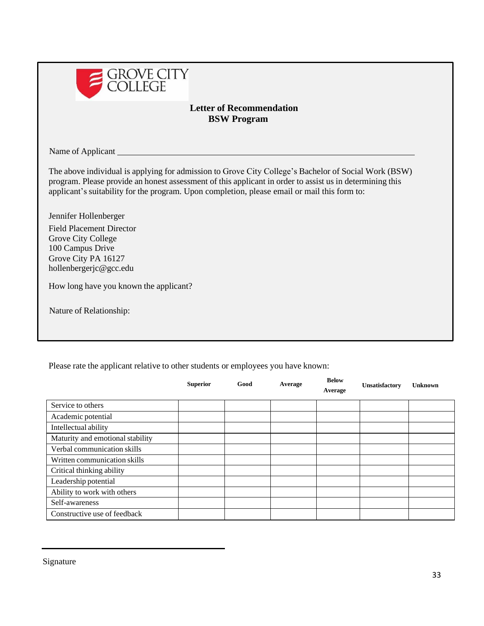

### **Letter of Recommendation BSW Program**

<span id="page-32-0"></span>Name of Applicant

The above individual is applying for admission to Grove City College's Bachelor of Social Work (BSW) program. Please provide an honest assessment of this applicant in order to assist us in determining this applicant's suitability for the program. Upon completion, please email or mail this form to:

Jennifer Hollenberger Field Placement Director Grove City College 100 Campus Drive Grove City PA 16127 hollenbergerjc@gcc.edu

How long have you known the applicant?

Nature of Relationship:

Please rate the applicant relative to other students or employees you have known:

|                                  | <b>Superior</b> | Good | Average | <b>Below</b><br>Average | Unsatisfactory | <b>Unknown</b> |
|----------------------------------|-----------------|------|---------|-------------------------|----------------|----------------|
| Service to others                |                 |      |         |                         |                |                |
| Academic potential               |                 |      |         |                         |                |                |
| Intellectual ability             |                 |      |         |                         |                |                |
| Maturity and emotional stability |                 |      |         |                         |                |                |
| Verbal communication skills      |                 |      |         |                         |                |                |
| Written communication skills     |                 |      |         |                         |                |                |
| Critical thinking ability        |                 |      |         |                         |                |                |
| Leadership potential             |                 |      |         |                         |                |                |
| Ability to work with others      |                 |      |         |                         |                |                |
| Self-awareness                   |                 |      |         |                         |                |                |
| Constructive use of feedback     |                 |      |         |                         |                |                |

Signature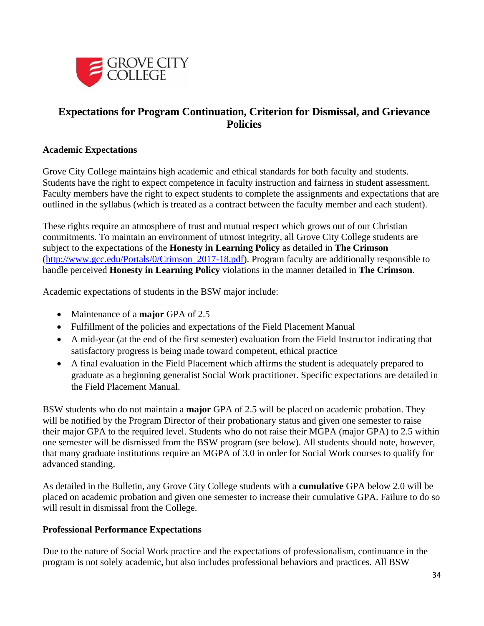

# <span id="page-33-0"></span>**Expectations for Program Continuation, Criterion for Dismissal, and Grievance Policies**

### **Academic Expectations**

Grove City College maintains high academic and ethical standards for both faculty and students. Students have the right to expect competence in faculty instruction and fairness in student assessment. Faculty members have the right to expect students to complete the assignments and expectations that are outlined in the syllabus (which is treated as a contract between the faculty member and each student).

These rights require an atmosphere of trust and mutual respect which grows out of our Christian commitments. To maintain an environment of utmost integrity, all Grove City College students are subject to the expectations of the **Honesty in Learning Policy** as detailed in **The Crimson** [\(http://www.gcc.edu/Portals/0/Crimson\\_2017-18.pdf\)](http://www.gcc.edu/Portals/0/Crimson_2017-18.pdf). Program faculty are additionally responsible to handle perceived **Honesty in Learning Policy** violations in the manner detailed in **The Crimson**.

Academic expectations of students in the BSW major include:

- Maintenance of a **major** GPA of 2.5
- Fulfillment of the policies and expectations of the Field Placement Manual
- A mid-year (at the end of the first semester) evaluation from the Field Instructor indicating that satisfactory progress is being made toward competent, ethical practice
- A final evaluation in the Field Placement which affirms the student is adequately prepared to graduate as a beginning generalist Social Work practitioner. Specific expectations are detailed in the Field Placement Manual.

BSW students who do not maintain a **major** GPA of 2.5 will be placed on academic probation. They will be notified by the Program Director of their probationary status and given one semester to raise their major GPA to the required level. Students who do not raise their MGPA (major GPA) to 2.5 within one semester will be dismissed from the BSW program (see below). All students should note, however, that many graduate institutions require an MGPA of 3.0 in order for Social Work courses to qualify for advanced standing.

As detailed in the Bulletin, any Grove City College students with a **cumulative** GPA below 2.0 will be placed on academic probation and given one semester to increase their cumulative GPA. Failure to do so will result in dismissal from the College.

### **Professional Performance Expectations**

Due to the nature of Social Work practice and the expectations of professionalism, continuance in the program is not solely academic, but also includes professional behaviors and practices. All BSW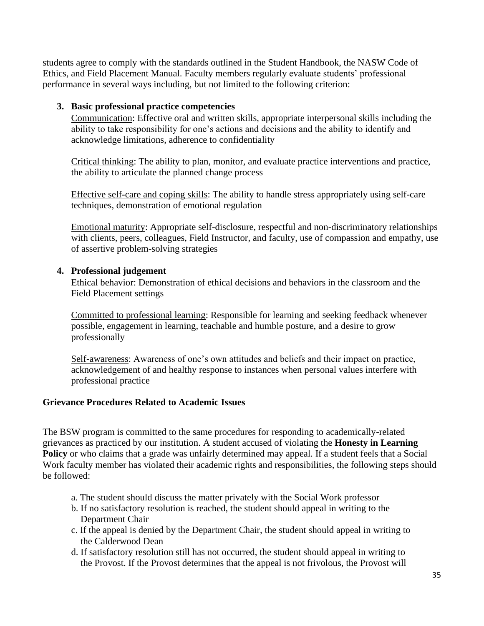students agree to comply with the standards outlined in the Student Handbook, the NASW Code of Ethics, and Field Placement Manual. Faculty members regularly evaluate students' professional performance in several ways including, but not limited to the following criterion:

### **3. Basic professional practice competencies**

Communication: Effective oral and written skills, appropriate interpersonal skills including the ability to take responsibility for one's actions and decisions and the ability to identify and acknowledge limitations, adherence to confidentiality

Critical thinking: The ability to plan, monitor, and evaluate practice interventions and practice, the ability to articulate the planned change process

Effective self-care and coping skills: The ability to handle stress appropriately using self-care techniques, demonstration of emotional regulation

Emotional maturity: Appropriate self-disclosure, respectful and non-discriminatory relationships with clients, peers, colleagues, Field Instructor, and faculty, use of compassion and empathy, use of assertive problem-solving strategies

### **4. Professional judgement**

Ethical behavior: Demonstration of ethical decisions and behaviors in the classroom and the Field Placement settings

Committed to professional learning: Responsible for learning and seeking feedback whenever possible, engagement in learning, teachable and humble posture, and a desire to grow professionally

Self-awareness: Awareness of one's own attitudes and beliefs and their impact on practice, acknowledgement of and healthy response to instances when personal values interfere with professional practice

### **Grievance Procedures Related to Academic Issues**

The BSW program is committed to the same procedures for responding to academically-related grievances as practiced by our institution. A student accused of violating the **Honesty in Learning Policy** or who claims that a grade was unfairly determined may appeal. If a student feels that a Social Work faculty member has violated their academic rights and responsibilities, the following steps should be followed:

- a. The student should discuss the matter privately with the Social Work professor
- b. If no satisfactory resolution is reached, the student should appeal in writing to the Department Chair
- c. If the appeal is denied by the Department Chair, the student should appeal in writing to the Calderwood Dean
- d. If satisfactory resolution still has not occurred, the student should appeal in writing to the Provost. If the Provost determines that the appeal is not frivolous, the Provost will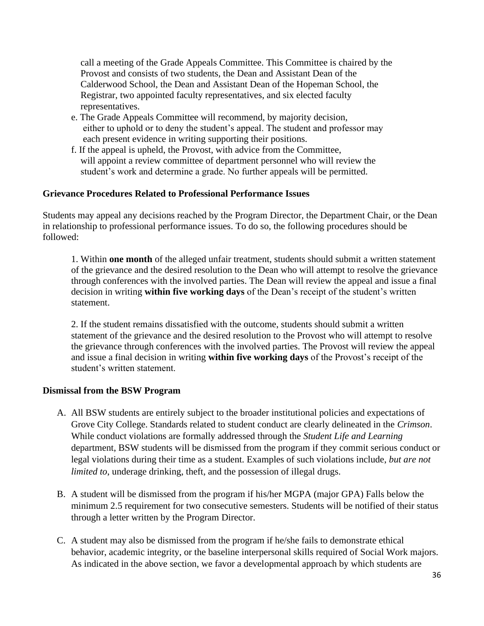call a meeting of the Grade Appeals Committee. This Committee is chaired by the Provost and consists of two students, the Dean and Assistant Dean of the Calderwood School, the Dean and Assistant Dean of the Hopeman School, the Registrar, two appointed faculty representatives, and six elected faculty representatives.

- e. The Grade Appeals Committee will recommend, by majority decision, either to uphold or to deny the student's appeal. The student and professor may each present evidence in writing supporting their positions.
- f. If the appeal is upheld, the Provost, with advice from the Committee, will appoint a review committee of department personnel who will review the student's work and determine a grade. No further appeals will be permitted.

### **Grievance Procedures Related to Professional Performance Issues**

Students may appeal any decisions reached by the Program Director, the Department Chair, or the Dean in relationship to professional performance issues. To do so, the following procedures should be followed:

1. Within **one month** of the alleged unfair treatment, students should submit a written statement of the grievance and the desired resolution to the Dean who will attempt to resolve the grievance through conferences with the involved parties. The Dean will review the appeal and issue a final decision in writing **within five working days** of the Dean's receipt of the student's written statement.

2. If the student remains dissatisfied with the outcome, students should submit a written statement of the grievance and the desired resolution to the Provost who will attempt to resolve the grievance through conferences with the involved parties. The Provost will review the appeal and issue a final decision in writing **within five working days** of the Provost's receipt of the student's written statement.

### **Dismissal from the BSW Program**

- A. All BSW students are entirely subject to the broader institutional policies and expectations of Grove City College. Standards related to student conduct are clearly delineated in the *Crimson*. While conduct violations are formally addressed through the *Student Life and Learning* department, BSW students will be dismissed from the program if they commit serious conduct or legal violations during their time as a student. Examples of such violations include, *but are not limited to*, underage drinking, theft, and the possession of illegal drugs.
- B. A student will be dismissed from the program if his/her MGPA (major GPA) Falls below the minimum 2.5 requirement for two consecutive semesters. Students will be notified of their status through a letter written by the Program Director.
- C. A student may also be dismissed from the program if he/she fails to demonstrate ethical behavior, academic integrity, or the baseline interpersonal skills required of Social Work majors. As indicated in the above section, we favor a developmental approach by which students are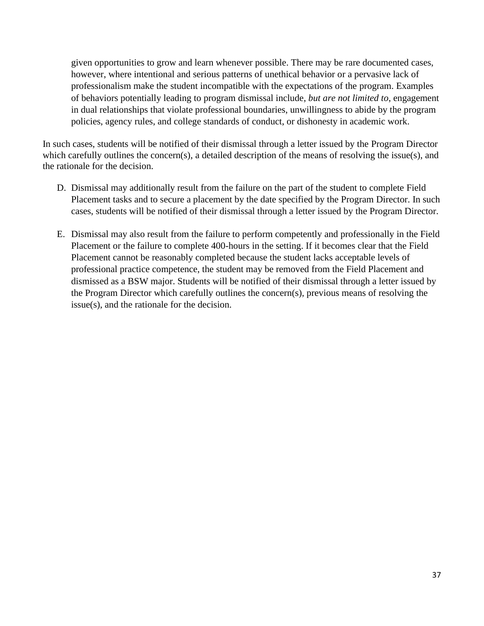given opportunities to grow and learn whenever possible. There may be rare documented cases, however, where intentional and serious patterns of unethical behavior or a pervasive lack of professionalism make the student incompatible with the expectations of the program. Examples of behaviors potentially leading to program dismissal include, *but are not limited to*, engagement in dual relationships that violate professional boundaries, unwillingness to abide by the program policies, agency rules, and college standards of conduct, or dishonesty in academic work.

In such cases, students will be notified of their dismissal through a letter issued by the Program Director which carefully outlines the concern(s), a detailed description of the means of resolving the issue(s), and the rationale for the decision.

- D. Dismissal may additionally result from the failure on the part of the student to complete Field Placement tasks and to secure a placement by the date specified by the Program Director. In such cases, students will be notified of their dismissal through a letter issued by the Program Director.
- E. Dismissal may also result from the failure to perform competently and professionally in the Field Placement or the failure to complete 400-hours in the setting. If it becomes clear that the Field Placement cannot be reasonably completed because the student lacks acceptable levels of professional practice competence, the student may be removed from the Field Placement and dismissed as a BSW major. Students will be notified of their dismissal through a letter issued by the Program Director which carefully outlines the concern(s), previous means of resolving the issue(s), and the rationale for the decision.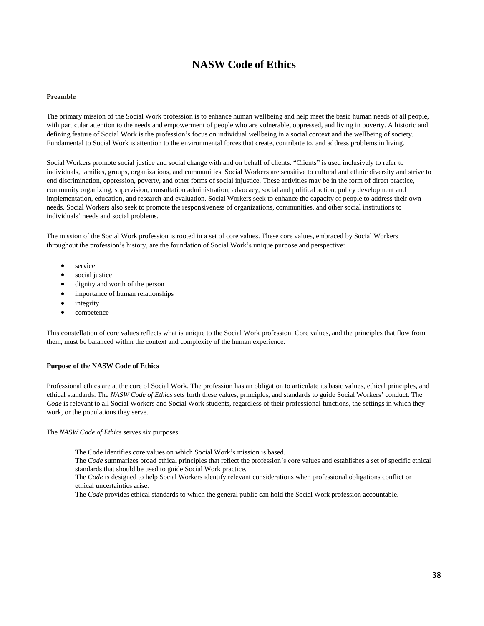# **NASW Code of Ethics**

#### <span id="page-37-0"></span>**Preamble**

The primary mission of the Social Work profession is to enhance human wellbeing and help meet the basic human needs of all people, with particular attention to the needs and empowerment of people who are vulnerable, oppressed, and living in poverty. A historic and defining feature of Social Work is the profession's focus on individual wellbeing in a social context and the wellbeing of society. Fundamental to Social Work is attention to the environmental forces that create, contribute to, and address problems in living.

Social Workers promote social justice and social change with and on behalf of clients. "Clients" is used inclusively to refer to individuals, families, groups, organizations, and communities. Social Workers are sensitive to cultural and ethnic diversity and strive to end discrimination, oppression, poverty, and other forms of social injustice. These activities may be in the form of direct practice, community organizing, supervision, consultation administration, advocacy, social and political action, policy development and implementation, education, and research and evaluation. Social Workers seek to enhance the capacity of people to address their own needs. Social Workers also seek to promote the responsiveness of organizations, communities, and other social institutions to individuals' needs and social problems.

The mission of the Social Work profession is rooted in a set of core values. These core values, embraced by Social Workers throughout the profession's history, are the foundation of Social Work's unique purpose and perspective:

- service
- social justice
- dignity and worth of the person
- importance of human relationships
- integrity
- competence

This constellation of core values reflects what is unique to the Social Work profession. Core values, and the principles that flow from them, must be balanced within the context and complexity of the human experience.

#### **Purpose of the NASW Code of Ethics**

Professional ethics are at the core of Social Work. The profession has an obligation to articulate its basic values, ethical principles, and ethical standards. The *NASW Code of Ethics* sets forth these values, principles, and standards to guide Social Workers' conduct. The *Code* is relevant to all Social Workers and Social Work students, regardless of their professional functions, the settings in which they work, or the populations they serve.

The *NASW Code of Ethics* serves six purposes:

The Code identifies core values on which Social Work's mission is based.

The *Code* summarizes broad ethical principles that reflect the profession's core values and establishes a set of specific ethical standards that should be used to guide Social Work practice.

The *Code* is designed to help Social Workers identify relevant considerations when professional obligations conflict or ethical uncertainties arise.

The *Code* provides ethical standards to which the general public can hold the Social Work profession accountable.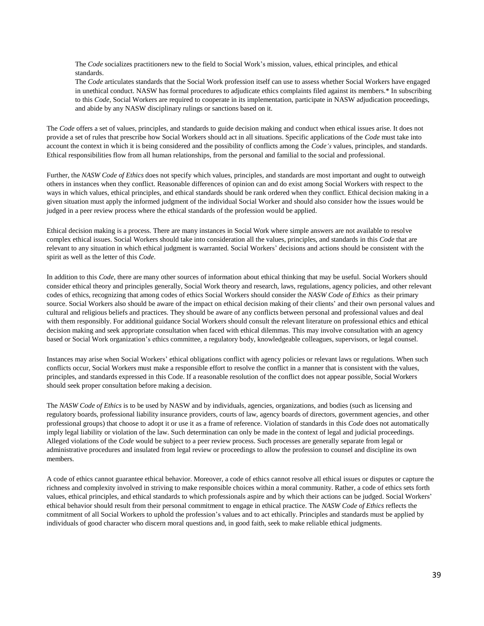The *Code* socializes practitioners new to the field to Social Work's mission, values, ethical principles, and ethical standards.

The *Code* articulates standards that the Social Work profession itself can use to assess whether Social Workers have engaged in unethical conduct. NASW has formal procedures to adjudicate ethics complaints filed against its members.\* In subscribing to this *Code*, Social Workers are required to cooperate in its implementation, participate in NASW adjudication proceedings, and abide by any NASW disciplinary rulings or sanctions based on it.

The *Code* offers a set of values, principles, and standards to guide decision making and conduct when ethical issues arise. It does not provide a set of rules that prescribe how Social Workers should act in all situations. Specific applications of the *Code* must take into account the context in which it is being considered and the possibility of conflicts among the *Code's* values, principles, and standards. Ethical responsibilities flow from all human relationships, from the personal and familial to the social and professional.

Further, the *NASW Code of Ethics* does not specify which values, principles, and standards are most important and ought to outweigh others in instances when they conflict. Reasonable differences of opinion can and do exist among Social Workers with respect to the ways in which values, ethical principles, and ethical standards should be rank ordered when they conflict. Ethical decision making in a given situation must apply the informed judgment of the individual Social Worker and should also consider how the issues would be judged in a peer review process where the ethical standards of the profession would be applied.

Ethical decision making is a process. There are many instances in Social Work where simple answers are not available to resolve complex ethical issues. Social Workers should take into consideration all the values, principles, and standards in this *Code* that are relevant to any situation in which ethical judgment is warranted. Social Workers' decisions and actions should be consistent with the spirit as well as the letter of this *Code*.

In addition to this *Code*, there are many other sources of information about ethical thinking that may be useful. Social Workers should consider ethical theory and principles generally, Social Work theory and research, laws, regulations, agency policies, and other relevant codes of ethics, recognizing that among codes of ethics Social Workers should consider the *NASW Code of Ethics* as their primary source. Social Workers also should be aware of the impact on ethical decision making of their clients' and their own personal values and cultural and religious beliefs and practices. They should be aware of any conflicts between personal and professional values and deal with them responsibly. For additional guidance Social Workers should consult the relevant literature on professional ethics and ethical decision making and seek appropriate consultation when faced with ethical dilemmas. This may involve consultation with an agency based or Social Work organization's ethics committee, a regulatory body, knowledgeable colleagues, supervisors, or legal counsel.

Instances may arise when Social Workers' ethical obligations conflict with agency policies or relevant laws or regulations. When such conflicts occur, Social Workers must make a responsible effort to resolve the conflict in a manner that is consistent with the values, principles, and standards expressed in this Code. If a reasonable resolution of the conflict does not appear possible, Social Workers should seek proper consultation before making a decision.

The *NASW Code of Ethics* is to be used by NASW and by individuals, agencies, organizations, and bodies (such as licensing and regulatory boards, professional liability insurance providers, courts of law, agency boards of directors, government agencies, and other professional groups) that choose to adopt it or use it as a frame of reference. Violation of standards in this *Code* does not automatically imply legal liability or violation of the law. Such determination can only be made in the context of legal and judicial proceedings. Alleged violations of the *Code* would be subject to a peer review process. Such processes are generally separate from legal or administrative procedures and insulated from legal review or proceedings to allow the profession to counsel and discipline its own members.

A code of ethics cannot guarantee ethical behavior. Moreover, a code of ethics cannot resolve all ethical issues or disputes or capture the richness and complexity involved in striving to make responsible choices within a moral community. Rather, a code of ethics sets forth values, ethical principles, and ethical standards to which professionals aspire and by which their actions can be judged. Social Workers' ethical behavior should result from their personal commitment to engage in ethical practice. The *NASW Code of Ethics* reflects the commitment of all Social Workers to uphold the profession's values and to act ethically. Principles and standards must be applied by individuals of good character who discern moral questions and, in good faith, seek to make reliable ethical judgments.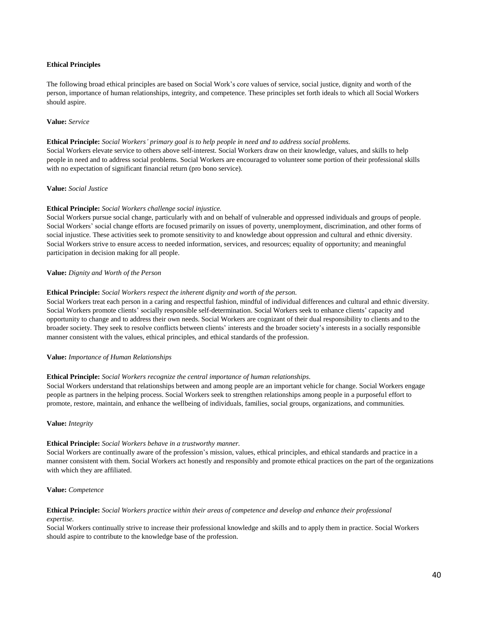#### **Ethical Principles**

The following broad ethical principles are based on Social Work's core values of service, social justice, dignity and worth of the person, importance of human relationships, integrity, and competence. These principles set forth ideals to which all Social Workers should aspire.

#### **Value:** *Service*

**Ethical Principle:** *Social Workers' primary goal is to help people in need and to address social problems.* Social Workers elevate service to others above self-interest. Social Workers draw on their knowledge, values, and skills to help people in need and to address social problems. Social Workers are encouraged to volunteer some portion of their professional skills with no expectation of significant financial return (pro bono service).

#### **Value:** *Social Justice*

#### **Ethical Principle:** *Social Workers challenge social injustice.*

Social Workers pursue social change, particularly with and on behalf of vulnerable and oppressed individuals and groups of people. Social Workers' social change efforts are focused primarily on issues of poverty, unemployment, discrimination, and other forms of social injustice. These activities seek to promote sensitivity to and knowledge about oppression and cultural and ethnic diversity. Social Workers strive to ensure access to needed information, services, and resources; equality of opportunity; and meaningful participation in decision making for all people.

#### **Value:** *Dignity and Worth of the Person*

#### **Ethical Principle:** *Social Workers respect the inherent dignity and worth of the person.*

Social Workers treat each person in a caring and respectful fashion, mindful of individual differences and cultural and ethnic diversity. Social Workers promote clients' socially responsible self-determination. Social Workers seek to enhance clients' capacity and opportunity to change and to address their own needs. Social Workers are cognizant of their dual responsibility to clients and to the broader society. They seek to resolve conflicts between clients' interests and the broader society's interests in a socially responsible manner consistent with the values, ethical principles, and ethical standards of the profession.

#### **Value:** *Importance of Human Relationships*

#### **Ethical Principle:** *Social Workers recognize the central importance of human relationships.*

Social Workers understand that relationships between and among people are an important vehicle for change. Social Workers engage people as partners in the helping process. Social Workers seek to strengthen relationships among people in a purposeful effort to promote, restore, maintain, and enhance the wellbeing of individuals, families, social groups, organizations, and communities.

#### **Value:** *Integrity*

#### **Ethical Principle:** *Social Workers behave in a trustworthy manner.*

Social Workers are continually aware of the profession's mission, values, ethical principles, and ethical standards and practice in a manner consistent with them. Social Workers act honestly and responsibly and promote ethical practices on the part of the organizations with which they are affiliated.

#### **Value:** *Competence*

#### **Ethical Principle:** *Social Workers practice within their areas of competence and develop and enhance their professional expertise.*

Social Workers continually strive to increase their professional knowledge and skills and to apply them in practice. Social Workers should aspire to contribute to the knowledge base of the profession.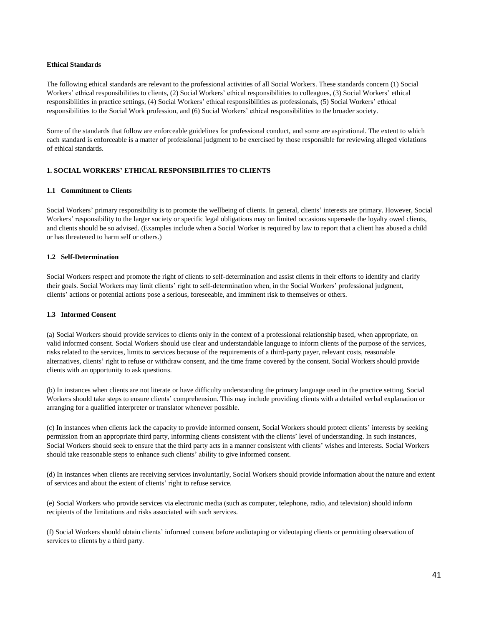#### **Ethical Standards**

The following ethical standards are relevant to the professional activities of all Social Workers. These standards concern (1) Social Workers' ethical responsibilities to clients, (2) Social Workers' ethical responsibilities to colleagues, (3) Social Workers' ethical responsibilities in practice settings, (4) Social Workers' ethical responsibilities as professionals, (5) Social Workers' ethical responsibilities to the Social Work profession, and (6) Social Workers' ethical responsibilities to the broader society.

Some of the standards that follow are enforceable guidelines for professional conduct, and some are aspirational. The extent to which each standard is enforceable is a matter of professional judgment to be exercised by those responsible for reviewing alleged violations of ethical standards.

#### **1. SOCIAL WORKERS' ETHICAL RESPONSIBILITIES TO CLIENTS**

#### **1.1 Commitment to Clients**

Social Workers' primary responsibility is to promote the wellbeing of clients. In general, clients' interests are primary. However, Social Workers' responsibility to the larger society or specific legal obligations may on limited occasions supersede the loyalty owed clients, and clients should be so advised. (Examples include when a Social Worker is required by law to report that a client has abused a child or has threatened to harm self or others.)

#### **1.2 Self-Determination**

Social Workers respect and promote the right of clients to self-determination and assist clients in their efforts to identify and clarify their goals. Social Workers may limit clients' right to self-determination when, in the Social Workers' professional judgment, clients' actions or potential actions pose a serious, foreseeable, and imminent risk to themselves or others.

#### **1.3 Informed Consent**

(a) Social Workers should provide services to clients only in the context of a professional relationship based, when appropriate, on valid informed consent. Social Workers should use clear and understandable language to inform clients of the purpose of the services, risks related to the services, limits to services because of the requirements of a third-party payer, relevant costs, reasonable alternatives, clients' right to refuse or withdraw consent, and the time frame covered by the consent. Social Workers should provide clients with an opportunity to ask questions.

(b) In instances when clients are not literate or have difficulty understanding the primary language used in the practice setting, Social Workers should take steps to ensure clients' comprehension. This may include providing clients with a detailed verbal explanation or arranging for a qualified interpreter or translator whenever possible.

(c) In instances when clients lack the capacity to provide informed consent, Social Workers should protect clients' interests by seeking permission from an appropriate third party, informing clients consistent with the clients' level of understanding. In such instances, Social Workers should seek to ensure that the third party acts in a manner consistent with clients' wishes and interests. Social Workers should take reasonable steps to enhance such clients' ability to give informed consent.

(d) In instances when clients are receiving services involuntarily, Social Workers should provide information about the nature and extent of services and about the extent of clients' right to refuse service.

(e) Social Workers who provide services via electronic media (such as computer, telephone, radio, and television) should inform recipients of the limitations and risks associated with such services.

(f) Social Workers should obtain clients' informed consent before audiotaping or videotaping clients or permitting observation of services to clients by a third party.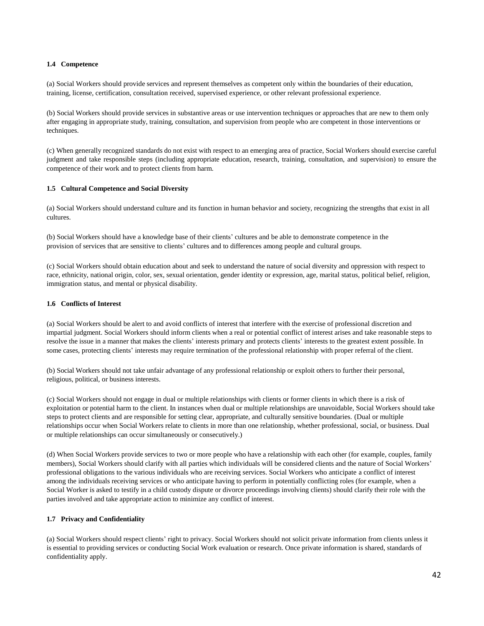#### **1.4 Competence**

(a) Social Workers should provide services and represent themselves as competent only within the boundaries of their education, training, license, certification, consultation received, supervised experience, or other relevant professional experience.

(b) Social Workers should provide services in substantive areas or use intervention techniques or approaches that are new to them only after engaging in appropriate study, training, consultation, and supervision from people who are competent in those interventions or techniques.

(c) When generally recognized standards do not exist with respect to an emerging area of practice, Social Workers should exercise careful judgment and take responsible steps (including appropriate education, research, training, consultation, and supervision) to ensure the competence of their work and to protect clients from harm.

#### **1.5 Cultural Competence and Social Diversity**

(a) Social Workers should understand culture and its function in human behavior and society, recognizing the strengths that exist in all cultures.

(b) Social Workers should have a knowledge base of their clients' cultures and be able to demonstrate competence in the provision of services that are sensitive to clients' cultures and to differences among people and cultural groups.

(c) Social Workers should obtain education about and seek to understand the nature of social diversity and oppression with respect to race, ethnicity, national origin, color, sex, sexual orientation, gender identity or expression, age, marital status, political belief, religion, immigration status, and mental or physical disability.

#### **1.6 Conflicts of Interest**

(a) Social Workers should be alert to and avoid conflicts of interest that interfere with the exercise of professional discretion and impartial judgment. Social Workers should inform clients when a real or potential conflict of interest arises and take reasonable steps to resolve the issue in a manner that makes the clients' interests primary and protects clients' interests to the greatest extent possible. In some cases, protecting clients' interests may require termination of the professional relationship with proper referral of the client.

(b) Social Workers should not take unfair advantage of any professional relationship or exploit others to further their personal, religious, political, or business interests.

(c) Social Workers should not engage in dual or multiple relationships with clients or former clients in which there is a risk of exploitation or potential harm to the client. In instances when dual or multiple relationships are unavoidable, Social Workers should take steps to protect clients and are responsible for setting clear, appropriate, and culturally sensitive boundaries. (Dual or multiple relationships occur when Social Workers relate to clients in more than one relationship, whether professional, social, or business. Dual or multiple relationships can occur simultaneously or consecutively.)

(d) When Social Workers provide services to two or more people who have a relationship with each other (for example, couples, family members), Social Workers should clarify with all parties which individuals will be considered clients and the nature of Social Workers' professional obligations to the various individuals who are receiving services. Social Workers who anticipate a conflict of interest among the individuals receiving services or who anticipate having to perform in potentially conflicting roles (for example, when a Social Worker is asked to testify in a child custody dispute or divorce proceedings involving clients) should clarify their role with the parties involved and take appropriate action to minimize any conflict of interest.

#### **1.7 Privacy and Confidentiality**

(a) Social Workers should respect clients' right to privacy. Social Workers should not solicit private information from clients unless it is essential to providing services or conducting Social Work evaluation or research. Once private information is shared, standards of confidentiality apply.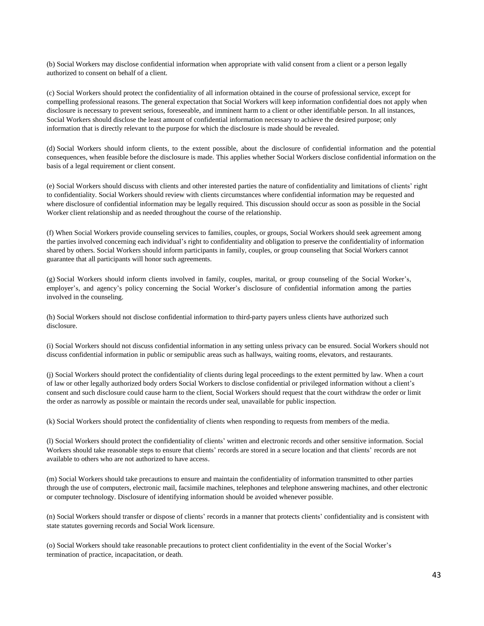(b) Social Workers may disclose confidential information when appropriate with valid consent from a client or a person legally authorized to consent on behalf of a client.

(c) Social Workers should protect the confidentiality of all information obtained in the course of professional service, except for compelling professional reasons. The general expectation that Social Workers will keep information confidential does not apply when disclosure is necessary to prevent serious, foreseeable, and imminent harm to a client or other identifiable person. In all instances, Social Workers should disclose the least amount of confidential information necessary to achieve the desired purpose; only information that is directly relevant to the purpose for which the disclosure is made should be revealed.

(d) Social Workers should inform clients, to the extent possible, about the disclosure of confidential information and the potential consequences, when feasible before the disclosure is made. This applies whether Social Workers disclose confidential information on the basis of a legal requirement or client consent.

(e) Social Workers should discuss with clients and other interested parties the nature of confidentiality and limitations of clients' right to confidentiality. Social Workers should review with clients circumstances where confidential information may be requested and where disclosure of confidential information may be legally required. This discussion should occur as soon as possible in the Social Worker client relationship and as needed throughout the course of the relationship.

(f) When Social Workers provide counseling services to families, couples, or groups, Social Workers should seek agreement among the parties involved concerning each individual's right to confidentiality and obligation to preserve the confidentiality of information shared by others. Social Workers should inform participants in family, couples, or group counseling that Social Workers cannot guarantee that all participants will honor such agreements.

(g) Social Workers should inform clients involved in family, couples, marital, or group counseling of the Social Worker's, employer's, and agency's policy concerning the Social Worker's disclosure of confidential information among the parties involved in the counseling.

(h) Social Workers should not disclose confidential information to third-party payers unless clients have authorized such disclosure.

(i) Social Workers should not discuss confidential information in any setting unless privacy can be ensured. Social Workers should not discuss confidential information in public or semipublic areas such as hallways, waiting rooms, elevators, and restaurants.

(j) Social Workers should protect the confidentiality of clients during legal proceedings to the extent permitted by law. When a court of law or other legally authorized body orders Social Workers to disclose confidential or privileged information without a client's consent and such disclosure could cause harm to the client, Social Workers should request that the court withdraw the order or limit the order as narrowly as possible or maintain the records under seal, unavailable for public inspection.

(k) Social Workers should protect the confidentiality of clients when responding to requests from members of the media.

(l) Social Workers should protect the confidentiality of clients' written and electronic records and other sensitive information. Social Workers should take reasonable steps to ensure that clients' records are stored in a secure location and that clients' records are not available to others who are not authorized to have access.

(m) Social Workers should take precautions to ensure and maintain the confidentiality of information transmitted to other parties through the use of computers, electronic mail, facsimile machines, telephones and telephone answering machines, and other electronic or computer technology. Disclosure of identifying information should be avoided whenever possible.

(n) Social Workers should transfer or dispose of clients' records in a manner that protects clients' confidentiality and is consistent with state statutes governing records and Social Work licensure.

(o) Social Workers should take reasonable precautions to protect client confidentiality in the event of the Social Worker's termination of practice, incapacitation, or death.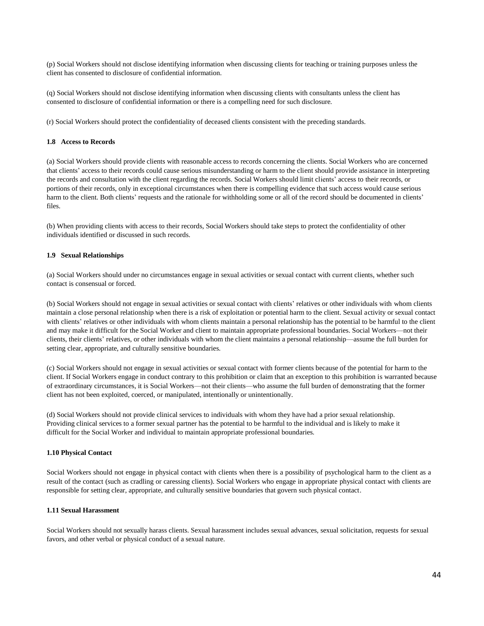(p) Social Workers should not disclose identifying information when discussing clients for teaching or training purposes unless the client has consented to disclosure of confidential information.

(q) Social Workers should not disclose identifying information when discussing clients with consultants unless the client has consented to disclosure of confidential information or there is a compelling need for such disclosure.

(r) Social Workers should protect the confidentiality of deceased clients consistent with the preceding standards.

#### **1.8 Access to Records**

(a) Social Workers should provide clients with reasonable access to records concerning the clients. Social Workers who are concerned that clients' access to their records could cause serious misunderstanding or harm to the client should provide assistance in interpreting the records and consultation with the client regarding the records. Social Workers should limit clients' access to their records, or portions of their records, only in exceptional circumstances when there is compelling evidence that such access would cause serious harm to the client. Both clients' requests and the rationale for withholding some or all of the record should be documented in clients' files.

(b) When providing clients with access to their records, Social Workers should take steps to protect the confidentiality of other individuals identified or discussed in such records.

#### **1.9 Sexual Relationships**

(a) Social Workers should under no circumstances engage in sexual activities or sexual contact with current clients, whether such contact is consensual or forced.

(b) Social Workers should not engage in sexual activities or sexual contact with clients' relatives or other individuals with whom clients maintain a close personal relationship when there is a risk of exploitation or potential harm to the client. Sexual activity or sexual contact with clients' relatives or other individuals with whom clients maintain a personal relationship has the potential to be harmful to the client and may make it difficult for the Social Worker and client to maintain appropriate professional boundaries. Social Workers—not their clients, their clients' relatives, or other individuals with whom the client maintains a personal relationship—assume the full burden for setting clear, appropriate, and culturally sensitive boundaries.

(c) Social Workers should not engage in sexual activities or sexual contact with former clients because of the potential for harm to the client. If Social Workers engage in conduct contrary to this prohibition or claim that an exception to this prohibition is warranted because of extraordinary circumstances, it is Social Workers—not their clients—who assume the full burden of demonstrating that the former client has not been exploited, coerced, or manipulated, intentionally or unintentionally.

(d) Social Workers should not provide clinical services to individuals with whom they have had a prior sexual relationship. Providing clinical services to a former sexual partner has the potential to be harmful to the individual and is likely to make it difficult for the Social Worker and individual to maintain appropriate professional boundaries.

#### **1.10 Physical Contact**

Social Workers should not engage in physical contact with clients when there is a possibility of psychological harm to the client as a result of the contact (such as cradling or caressing clients). Social Workers who engage in appropriate physical contact with clients are responsible for setting clear, appropriate, and culturally sensitive boundaries that govern such physical contact.

#### **1.11 Sexual Harassment**

Social Workers should not sexually harass clients. Sexual harassment includes sexual advances, sexual solicitation, requests for sexual favors, and other verbal or physical conduct of a sexual nature.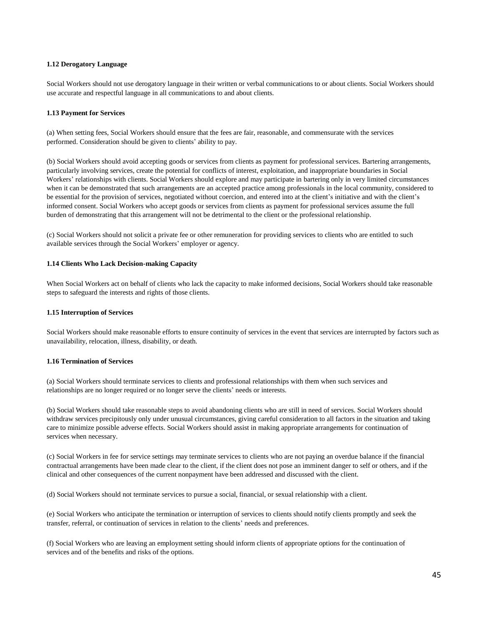#### **1.12 Derogatory Language**

Social Workers should not use derogatory language in their written or verbal communications to or about clients. Social Workers should use accurate and respectful language in all communications to and about clients.

#### **1.13 Payment for Services**

(a) When setting fees, Social Workers should ensure that the fees are fair, reasonable, and commensurate with the services performed. Consideration should be given to clients' ability to pay.

(b) Social Workers should avoid accepting goods or services from clients as payment for professional services. Bartering arrangements, particularly involving services, create the potential for conflicts of interest, exploitation, and inappropriate boundaries in Social Workers' relationships with clients. Social Workers should explore and may participate in bartering only in very limited circumstances when it can be demonstrated that such arrangements are an accepted practice among professionals in the local community, considered to be essential for the provision of services, negotiated without coercion, and entered into at the client's initiative and with the client's informed consent. Social Workers who accept goods or services from clients as payment for professional services assume the full burden of demonstrating that this arrangement will not be detrimental to the client or the professional relationship.

(c) Social Workers should not solicit a private fee or other remuneration for providing services to clients who are entitled to such available services through the Social Workers' employer or agency.

#### **1.14 Clients Who Lack Decision-making Capacity**

When Social Workers act on behalf of clients who lack the capacity to make informed decisions, Social Workers should take reasonable steps to safeguard the interests and rights of those clients.

#### **1.15 Interruption of Services**

Social Workers should make reasonable efforts to ensure continuity of services in the event that services are interrupted by factors such as unavailability, relocation, illness, disability, or death.

#### **1.16 Termination of Services**

(a) Social Workers should terminate services to clients and professional relationships with them when such services and relationships are no longer required or no longer serve the clients' needs or interests.

(b) Social Workers should take reasonable steps to avoid abandoning clients who are still in need of services. Social Workers should withdraw services precipitously only under unusual circumstances, giving careful consideration to all factors in the situation and taking care to minimize possible adverse effects. Social Workers should assist in making appropriate arrangements for continuation of services when necessary.

(c) Social Workers in fee for service settings may terminate services to clients who are not paying an overdue balance if the financial contractual arrangements have been made clear to the client, if the client does not pose an imminent danger to self or others, and if the clinical and other consequences of the current nonpayment have been addressed and discussed with the client.

(d) Social Workers should not terminate services to pursue a social, financial, or sexual relationship with a client.

(e) Social Workers who anticipate the termination or interruption of services to clients should notify clients promptly and seek the transfer, referral, or continuation of services in relation to the clients' needs and preferences.

(f) Social Workers who are leaving an employment setting should inform clients of appropriate options for the continuation of services and of the benefits and risks of the options.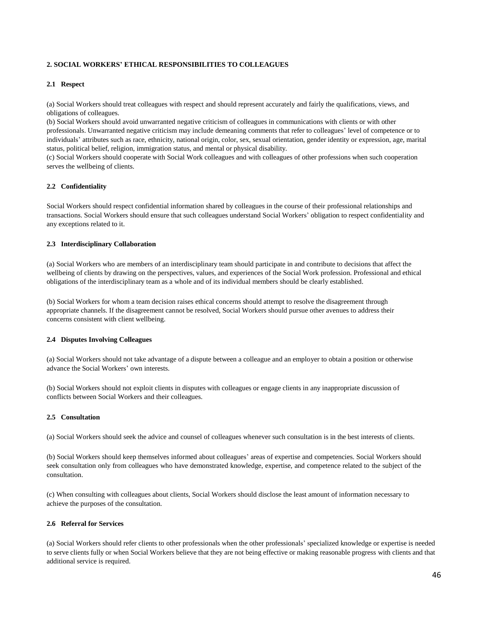#### **2. SOCIAL WORKERS' ETHICAL RESPONSIBILITIES TO COLLEAGUES**

#### **2.1 Respect**

(a) Social Workers should treat colleagues with respect and should represent accurately and fairly the qualifications, views, and obligations of colleagues.

(b) Social Workers should avoid unwarranted negative criticism of colleagues in communications with clients or with other professionals. Unwarranted negative criticism may include demeaning comments that refer to colleagues' level of competence or to individuals' attributes such as race, ethnicity, national origin, color, sex, sexual orientation, gender identity or expression, age, marital status, political belief, religion, immigration status, and mental or physical disability.

(c) Social Workers should cooperate with Social Work colleagues and with colleagues of other professions when such cooperation serves the wellbeing of clients.

#### **2.2 Confidentiality**

Social Workers should respect confidential information shared by colleagues in the course of their professional relationships and transactions. Social Workers should ensure that such colleagues understand Social Workers' obligation to respect confidentiality and any exceptions related to it.

#### **2.3 Interdisciplinary Collaboration**

(a) Social Workers who are members of an interdisciplinary team should participate in and contribute to decisions that affect the wellbeing of clients by drawing on the perspectives, values, and experiences of the Social Work profession. Professional and ethical obligations of the interdisciplinary team as a whole and of its individual members should be clearly established.

(b) Social Workers for whom a team decision raises ethical concerns should attempt to resolve the disagreement through appropriate channels. If the disagreement cannot be resolved, Social Workers should pursue other avenues to address their concerns consistent with client wellbeing.

#### **2.4 Disputes Involving Colleagues**

(a) Social Workers should not take advantage of a dispute between a colleague and an employer to obtain a position or otherwise advance the Social Workers' own interests.

(b) Social Workers should not exploit clients in disputes with colleagues or engage clients in any inappropriate discussion of conflicts between Social Workers and their colleagues.

#### **2.5 Consultation**

(a) Social Workers should seek the advice and counsel of colleagues whenever such consultation is in the best interests of clients.

(b) Social Workers should keep themselves informed about colleagues' areas of expertise and competencies. Social Workers should seek consultation only from colleagues who have demonstrated knowledge, expertise, and competence related to the subject of the consultation.

(c) When consulting with colleagues about clients, Social Workers should disclose the least amount of information necessary to achieve the purposes of the consultation.

#### **2.6 Referral for Services**

(a) Social Workers should refer clients to other professionals when the other professionals' specialized knowledge or expertise is needed to serve clients fully or when Social Workers believe that they are not being effective or making reasonable progress with clients and that additional service is required.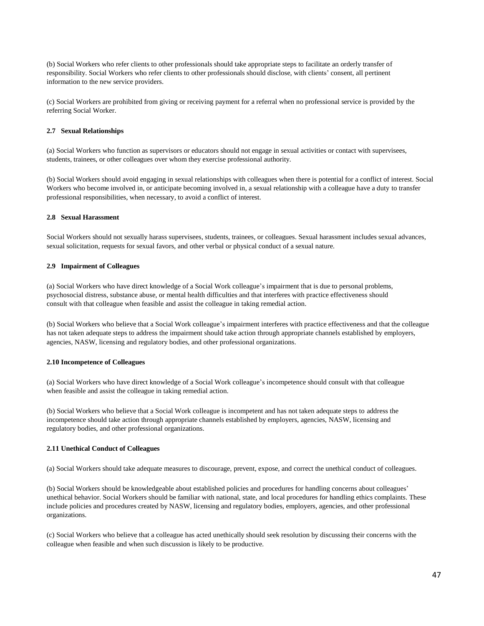(b) Social Workers who refer clients to other professionals should take appropriate steps to facilitate an orderly transfer of responsibility. Social Workers who refer clients to other professionals should disclose, with clients' consent, all pertinent information to the new service providers.

(c) Social Workers are prohibited from giving or receiving payment for a referral when no professional service is provided by the referring Social Worker.

#### **2.7 Sexual Relationships**

(a) Social Workers who function as supervisors or educators should not engage in sexual activities or contact with supervisees, students, trainees, or other colleagues over whom they exercise professional authority.

(b) Social Workers should avoid engaging in sexual relationships with colleagues when there is potential for a conflict of interest. Social Workers who become involved in, or anticipate becoming involved in, a sexual relationship with a colleague have a duty to transfer professional responsibilities, when necessary, to avoid a conflict of interest.

#### **2.8 Sexual Harassment**

Social Workers should not sexually harass supervisees, students, trainees, or colleagues. Sexual harassment includes sexual advances, sexual solicitation, requests for sexual favors, and other verbal or physical conduct of a sexual nature.

#### **2.9 Impairment of Colleagues**

(a) Social Workers who have direct knowledge of a Social Work colleague's impairment that is due to personal problems, psychosocial distress, substance abuse, or mental health difficulties and that interferes with practice effectiveness should consult with that colleague when feasible and assist the colleague in taking remedial action.

(b) Social Workers who believe that a Social Work colleague's impairment interferes with practice effectiveness and that the colleague has not taken adequate steps to address the impairment should take action through appropriate channels established by employers, agencies, NASW, licensing and regulatory bodies, and other professional organizations.

#### **2.10 Incompetence of Colleagues**

(a) Social Workers who have direct knowledge of a Social Work colleague's incompetence should consult with that colleague when feasible and assist the colleague in taking remedial action.

(b) Social Workers who believe that a Social Work colleague is incompetent and has not taken adequate steps to address the incompetence should take action through appropriate channels established by employers, agencies, NASW, licensing and regulatory bodies, and other professional organizations.

#### **2.11 Unethical Conduct of Colleagues**

(a) Social Workers should take adequate measures to discourage, prevent, expose, and correct the unethical conduct of colleagues.

(b) Social Workers should be knowledgeable about established policies and procedures for handling concerns about colleagues' unethical behavior. Social Workers should be familiar with national, state, and local procedures for handling ethics complaints. These include policies and procedures created by NASW, licensing and regulatory bodies, employers, agencies, and other professional organizations.

(c) Social Workers who believe that a colleague has acted unethically should seek resolution by discussing their concerns with the colleague when feasible and when such discussion is likely to be productive.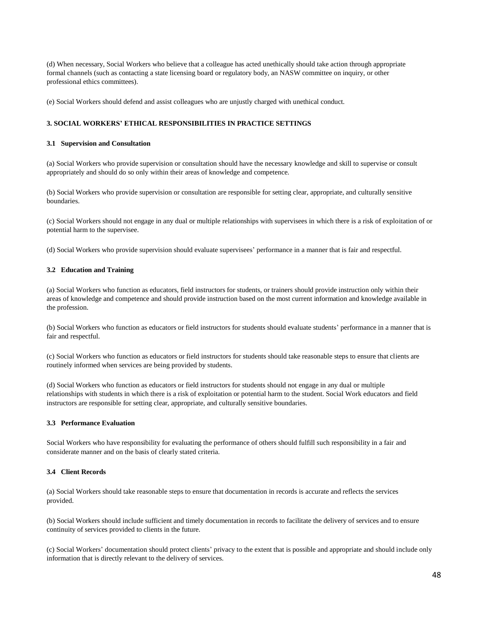(d) When necessary, Social Workers who believe that a colleague has acted unethically should take action through appropriate formal channels (such as contacting a state licensing board or regulatory body, an NASW committee on inquiry, or other professional ethics committees).

(e) Social Workers should defend and assist colleagues who are unjustly charged with unethical conduct.

#### **3. SOCIAL WORKERS' ETHICAL RESPONSIBILITIES IN PRACTICE SETTINGS**

#### **3.1 Supervision and Consultation**

(a) Social Workers who provide supervision or consultation should have the necessary knowledge and skill to supervise or consult appropriately and should do so only within their areas of knowledge and competence.

(b) Social Workers who provide supervision or consultation are responsible for setting clear, appropriate, and culturally sensitive boundaries.

(c) Social Workers should not engage in any dual or multiple relationships with supervisees in which there is a risk of exploitation of or potential harm to the supervisee.

(d) Social Workers who provide supervision should evaluate supervisees' performance in a manner that is fair and respectful.

#### **3.2 Education and Training**

(a) Social Workers who function as educators, field instructors for students, or trainers should provide instruction only within their areas of knowledge and competence and should provide instruction based on the most current information and knowledge available in the profession.

(b) Social Workers who function as educators or field instructors for students should evaluate students' performance in a manner that is fair and respectful.

(c) Social Workers who function as educators or field instructors for students should take reasonable steps to ensure that clients are routinely informed when services are being provided by students.

(d) Social Workers who function as educators or field instructors for students should not engage in any dual or multiple relationships with students in which there is a risk of exploitation or potential harm to the student. Social Work educators and field instructors are responsible for setting clear, appropriate, and culturally sensitive boundaries.

#### **3.3 Performance Evaluation**

Social Workers who have responsibility for evaluating the performance of others should fulfill such responsibility in a fair and considerate manner and on the basis of clearly stated criteria.

#### **3.4 Client Records**

(a) Social Workers should take reasonable steps to ensure that documentation in records is accurate and reflects the services provided.

(b) Social Workers should include sufficient and timely documentation in records to facilitate the delivery of services and to ensure continuity of services provided to clients in the future.

(c) Social Workers' documentation should protect clients' privacy to the extent that is possible and appropriate and should include only information that is directly relevant to the delivery of services.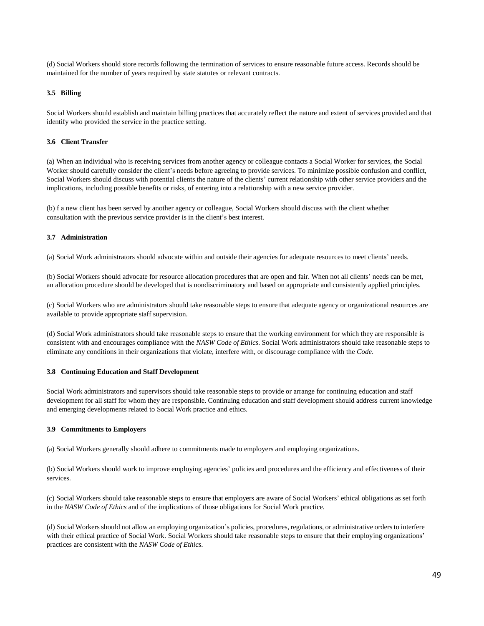(d) Social Workers should store records following the termination of services to ensure reasonable future access. Records should be maintained for the number of years required by state statutes or relevant contracts.

#### **3.5 Billing**

Social Workers should establish and maintain billing practices that accurately reflect the nature and extent of services provided and that identify who provided the service in the practice setting.

#### **3.6 Client Transfer**

(a) When an individual who is receiving services from another agency or colleague contacts a Social Worker for services, the Social Worker should carefully consider the client's needs before agreeing to provide services. To minimize possible confusion and conflict, Social Workers should discuss with potential clients the nature of the clients' current relationship with other service providers and the implications, including possible benefits or risks, of entering into a relationship with a new service provider.

(b) f a new client has been served by another agency or colleague, Social Workers should discuss with the client whether consultation with the previous service provider is in the client's best interest.

#### **3.7 Administration**

(a) Social Work administrators should advocate within and outside their agencies for adequate resources to meet clients' needs.

(b) Social Workers should advocate for resource allocation procedures that are open and fair. When not all clients' needs can be met, an allocation procedure should be developed that is nondiscriminatory and based on appropriate and consistently applied principles.

(c) Social Workers who are administrators should take reasonable steps to ensure that adequate agency or organizational resources are available to provide appropriate staff supervision.

(d) Social Work administrators should take reasonable steps to ensure that the working environment for which they are responsible is consistent with and encourages compliance with the *NASW Code of Ethics*. Social Work administrators should take reasonable steps to eliminate any conditions in their organizations that violate, interfere with, or discourage compliance with the *Code*.

#### **3.8 Continuing Education and Staff Development**

Social Work administrators and supervisors should take reasonable steps to provide or arrange for continuing education and staff development for all staff for whom they are responsible. Continuing education and staff development should address current knowledge and emerging developments related to Social Work practice and ethics.

#### **3.9 Commitments to Employers**

(a) Social Workers generally should adhere to commitments made to employers and employing organizations.

(b) Social Workers should work to improve employing agencies' policies and procedures and the efficiency and effectiveness of their services.

(c) Social Workers should take reasonable steps to ensure that employers are aware of Social Workers' ethical obligations as set forth in the *NASW Code of Ethics* and of the implications of those obligations for Social Work practice.

(d) Social Workers should not allow an employing organization's policies, procedures, regulations, or administrative orders to interfere with their ethical practice of Social Work. Social Workers should take reasonable steps to ensure that their employing organizations' practices are consistent with the *NASW Code of Ethics*.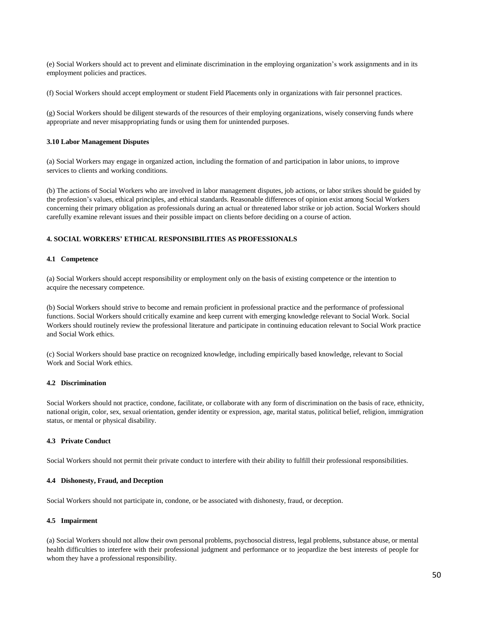(e) Social Workers should act to prevent and eliminate discrimination in the employing organization's work assignments and in its employment policies and practices.

(f) Social Workers should accept employment or student Field Placements only in organizations with fair personnel practices.

(g) Social Workers should be diligent stewards of the resources of their employing organizations, wisely conserving funds where appropriate and never misappropriating funds or using them for unintended purposes.

#### **3.10 Labor Management Disputes**

(a) Social Workers may engage in organized action, including the formation of and participation in labor unions, to improve services to clients and working conditions.

(b) The actions of Social Workers who are involved in labor management disputes, job actions, or labor strikes should be guided by the profession's values, ethical principles, and ethical standards. Reasonable differences of opinion exist among Social Workers concerning their primary obligation as professionals during an actual or threatened labor strike or job action. Social Workers should carefully examine relevant issues and their possible impact on clients before deciding on a course of action.

#### **4. SOCIAL WORKERS' ETHICAL RESPONSIBILITIES AS PROFESSIONALS**

#### **4.1 Competence**

(a) Social Workers should accept responsibility or employment only on the basis of existing competence or the intention to acquire the necessary competence.

(b) Social Workers should strive to become and remain proficient in professional practice and the performance of professional functions. Social Workers should critically examine and keep current with emerging knowledge relevant to Social Work. Social Workers should routinely review the professional literature and participate in continuing education relevant to Social Work practice and Social Work ethics.

(c) Social Workers should base practice on recognized knowledge, including empirically based knowledge, relevant to Social Work and Social Work ethics.

#### **4.2 Discrimination**

Social Workers should not practice, condone, facilitate, or collaborate with any form of discrimination on the basis of race, ethnicity, national origin, color, sex, sexual orientation, gender identity or expression, age, marital status, political belief, religion, immigration status, or mental or physical disability.

#### **4.3 Private Conduct**

Social Workers should not permit their private conduct to interfere with their ability to fulfill their professional responsibilities.

#### **4.4 Dishonesty, Fraud, and Deception**

Social Workers should not participate in, condone, or be associated with dishonesty, fraud, or deception.

#### **4.5 Impairment**

(a) Social Workers should not allow their own personal problems, psychosocial distress, legal problems, substance abuse, or mental health difficulties to interfere with their professional judgment and performance or to jeopardize the best interests of people for whom they have a professional responsibility.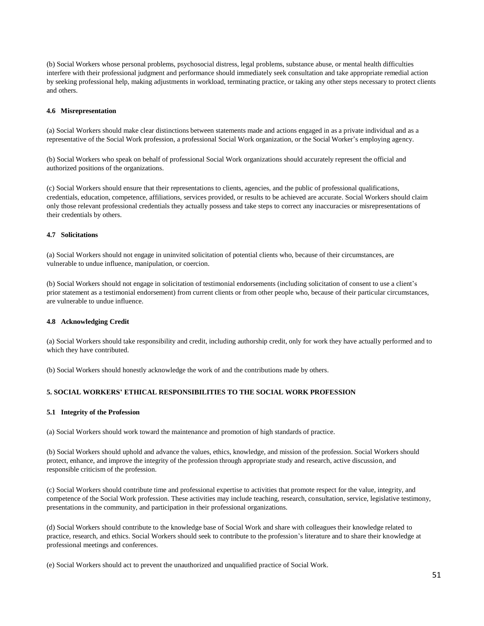(b) Social Workers whose personal problems, psychosocial distress, legal problems, substance abuse, or mental health difficulties interfere with their professional judgment and performance should immediately seek consultation and take appropriate remedial action by seeking professional help, making adjustments in workload, terminating practice, or taking any other steps necessary to protect clients and others.

#### **4.6 Misrepresentation**

(a) Social Workers should make clear distinctions between statements made and actions engaged in as a private individual and as a representative of the Social Work profession, a professional Social Work organization, or the Social Worker's employing agency.

(b) Social Workers who speak on behalf of professional Social Work organizations should accurately represent the official and authorized positions of the organizations.

(c) Social Workers should ensure that their representations to clients, agencies, and the public of professional qualifications, credentials, education, competence, affiliations, services provided, or results to be achieved are accurate. Social Workers should claim only those relevant professional credentials they actually possess and take steps to correct any inaccuracies or misrepresentations of their credentials by others.

#### **4.7 Solicitations**

(a) Social Workers should not engage in uninvited solicitation of potential clients who, because of their circumstances, are vulnerable to undue influence, manipulation, or coercion.

(b) Social Workers should not engage in solicitation of testimonial endorsements (including solicitation of consent to use a client's prior statement as a testimonial endorsement) from current clients or from other people who, because of their particular circumstances, are vulnerable to undue influence.

#### **4.8 Acknowledging Credit**

(a) Social Workers should take responsibility and credit, including authorship credit, only for work they have actually performed and to which they have contributed.

(b) Social Workers should honestly acknowledge the work of and the contributions made by others.

#### **5. SOCIAL WORKERS' ETHICAL RESPONSIBILITIES TO THE SOCIAL WORK PROFESSION**

#### **5.1 Integrity of the Profession**

(a) Social Workers should work toward the maintenance and promotion of high standards of practice.

(b) Social Workers should uphold and advance the values, ethics, knowledge, and mission of the profession. Social Workers should protect, enhance, and improve the integrity of the profession through appropriate study and research, active discussion, and responsible criticism of the profession.

(c) Social Workers should contribute time and professional expertise to activities that promote respect for the value, integrity, and competence of the Social Work profession. These activities may include teaching, research, consultation, service, legislative testimony, presentations in the community, and participation in their professional organizations.

(d) Social Workers should contribute to the knowledge base of Social Work and share with colleagues their knowledge related to practice, research, and ethics. Social Workers should seek to contribute to the profession's literature and to share their knowledge at professional meetings and conferences.

(e) Social Workers should act to prevent the unauthorized and unqualified practice of Social Work.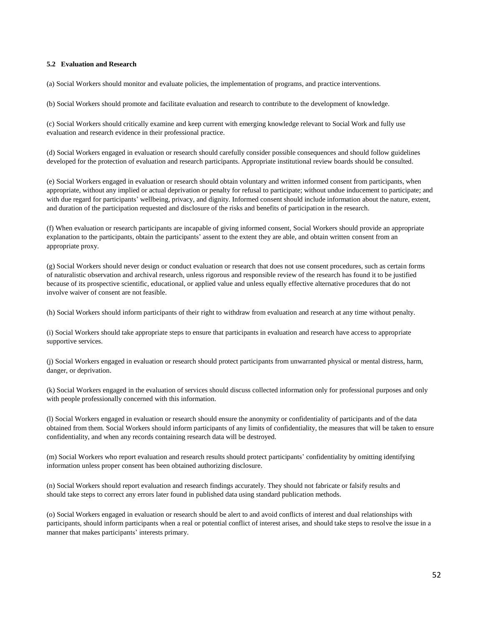#### **5.2 Evaluation and Research**

(a) Social Workers should monitor and evaluate policies, the implementation of programs, and practice interventions.

(b) Social Workers should promote and facilitate evaluation and research to contribute to the development of knowledge.

(c) Social Workers should critically examine and keep current with emerging knowledge relevant to Social Work and fully use evaluation and research evidence in their professional practice.

(d) Social Workers engaged in evaluation or research should carefully consider possible consequences and should follow guidelines developed for the protection of evaluation and research participants. Appropriate institutional review boards should be consulted.

(e) Social Workers engaged in evaluation or research should obtain voluntary and written informed consent from participants, when appropriate, without any implied or actual deprivation or penalty for refusal to participate; without undue inducement to participate; and with due regard for participants' wellbeing, privacy, and dignity. Informed consent should include information about the nature, extent, and duration of the participation requested and disclosure of the risks and benefits of participation in the research.

(f) When evaluation or research participants are incapable of giving informed consent, Social Workers should provide an appropriate explanation to the participants, obtain the participants' assent to the extent they are able, and obtain written consent from an appropriate proxy.

(g) Social Workers should never design or conduct evaluation or research that does not use consent procedures, such as certain forms of naturalistic observation and archival research, unless rigorous and responsible review of the research has found it to be justified because of its prospective scientific, educational, or applied value and unless equally effective alternative procedures that do not involve waiver of consent are not feasible.

(h) Social Workers should inform participants of their right to withdraw from evaluation and research at any time without penalty.

(i) Social Workers should take appropriate steps to ensure that participants in evaluation and research have access to appropriate supportive services.

(j) Social Workers engaged in evaluation or research should protect participants from unwarranted physical or mental distress, harm, danger, or deprivation.

(k) Social Workers engaged in the evaluation of services should discuss collected information only for professional purposes and only with people professionally concerned with this information.

(l) Social Workers engaged in evaluation or research should ensure the anonymity or confidentiality of participants and of the data obtained from them. Social Workers should inform participants of any limits of confidentiality, the measures that will be taken to ensure confidentiality, and when any records containing research data will be destroyed.

(m) Social Workers who report evaluation and research results should protect participants' confidentiality by omitting identifying information unless proper consent has been obtained authorizing disclosure.

(n) Social Workers should report evaluation and research findings accurately. They should not fabricate or falsify results and should take steps to correct any errors later found in published data using standard publication methods.

(o) Social Workers engaged in evaluation or research should be alert to and avoid conflicts of interest and dual relationships with participants, should inform participants when a real or potential conflict of interest arises, and should take steps to resolve the issue in a manner that makes participants' interests primary.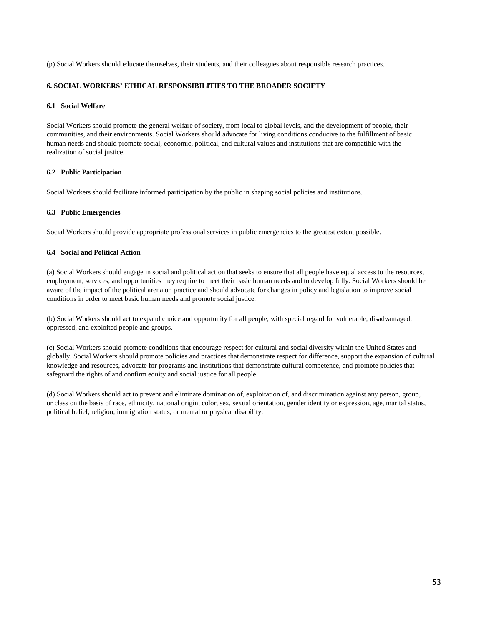(p) Social Workers should educate themselves, their students, and their colleagues about responsible research practices.

#### **6. SOCIAL WORKERS' ETHICAL RESPONSIBILITIES TO THE BROADER SOCIETY**

#### **6.1 Social Welfare**

Social Workers should promote the general welfare of society, from local to global levels, and the development of people, their communities, and their environments. Social Workers should advocate for living conditions conducive to the fulfillment of basic human needs and should promote social, economic, political, and cultural values and institutions that are compatible with the realization of social justice.

#### **6.2 Public Participation**

Social Workers should facilitate informed participation by the public in shaping social policies and institutions.

#### **6.3 Public Emergencies**

Social Workers should provide appropriate professional services in public emergencies to the greatest extent possible.

#### **6.4 Social and Political Action**

(a) Social Workers should engage in social and political action that seeks to ensure that all people have equal access to the resources, employment, services, and opportunities they require to meet their basic human needs and to develop fully. Social Workers should be aware of the impact of the political arena on practice and should advocate for changes in policy and legislation to improve social conditions in order to meet basic human needs and promote social justice.

(b) Social Workers should act to expand choice and opportunity for all people, with special regard for vulnerable, disadvantaged, oppressed, and exploited people and groups.

(c) Social Workers should promote conditions that encourage respect for cultural and social diversity within the United States and globally. Social Workers should promote policies and practices that demonstrate respect for difference, support the expansion of cultural knowledge and resources, advocate for programs and institutions that demonstrate cultural competence, and promote policies that safeguard the rights of and confirm equity and social justice for all people.

(d) Social Workers should act to prevent and eliminate domination of, exploitation of, and discrimination against any person, group, or class on the basis of race, ethnicity, national origin, color, sex, sexual orientation, gender identity or expression, age, marital status, political belief, religion, immigration status, or mental or physical disability.